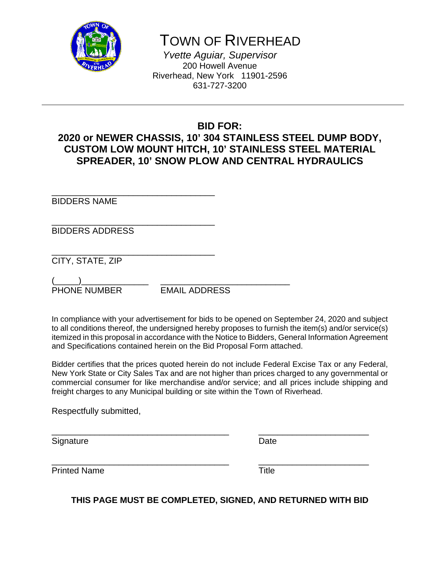

# TOWN OF RIVERHEAD

*Yvette Aguiar, Supervisor*  200 Howell Avenue Riverhead, New York 11901-2596 631-727-3200

# **BID FOR:**

# **2020 or NEWER CHASSIS, 10' 304 STAINLESS STEEL DUMP BODY, CUSTOM LOW MOUNT HITCH, 10' STAINLESS STEEL MATERIAL SPREADER, 10' SNOW PLOW AND CENTRAL HYDRAULICS**

\_\_\_\_\_\_\_\_\_\_\_\_\_\_\_\_\_\_\_\_\_\_\_\_\_\_\_\_\_\_\_\_\_\_ BIDDERS NAME

\_\_\_\_\_\_\_\_\_\_\_\_\_\_\_\_\_\_\_\_\_\_\_\_\_\_\_\_\_\_\_\_\_\_ BIDDERS ADDRESS

\_\_\_\_\_\_\_\_\_\_\_\_\_\_\_\_\_\_\_\_\_\_\_\_\_\_\_\_\_\_\_\_\_\_ CITY, STATE, ZIP

(\_\_\_\_\_)\_\_\_\_\_\_\_\_\_\_\_\_\_\_ \_\_\_\_\_\_\_\_\_\_\_\_\_\_\_\_\_\_\_\_\_\_\_\_\_\_\_ PHONE NUMBER EMAIL ADDRESS

In compliance with your advertisement for bids to be opened on September 24, 2020 and subject to all conditions thereof, the undersigned hereby proposes to furnish the item(s) and/or service(s) itemized in this proposal in accordance with the Notice to Bidders, General Information Agreement and Specifications contained herein on the Bid Proposal Form attached.

Bidder certifies that the prices quoted herein do not include Federal Excise Tax or any Federal, New York State or City Sales Tax and are not higher than prices charged to any governmental or commercial consumer for like merchandise and/or service; and all prices include shipping and freight charges to any Municipal building or site within the Town of Riverhead.

\_\_\_\_\_\_\_\_\_\_\_\_\_\_\_\_\_\_\_\_\_\_\_\_\_\_\_\_\_\_\_\_\_\_\_\_\_ \_\_\_\_\_\_\_\_\_\_\_\_\_\_\_\_\_\_\_\_\_\_\_

\_\_\_\_\_\_\_\_\_\_\_\_\_\_\_\_\_\_\_\_\_\_\_\_\_\_\_\_\_\_\_\_\_\_\_\_\_ \_\_\_\_\_\_\_\_\_\_\_\_\_\_\_\_\_\_\_\_\_\_\_

Respectfully submitted,

Signature Date Date Date

Printed Name Title

**THIS PAGE MUST BE COMPLETED, SIGNED, AND RETURNED WITH BID**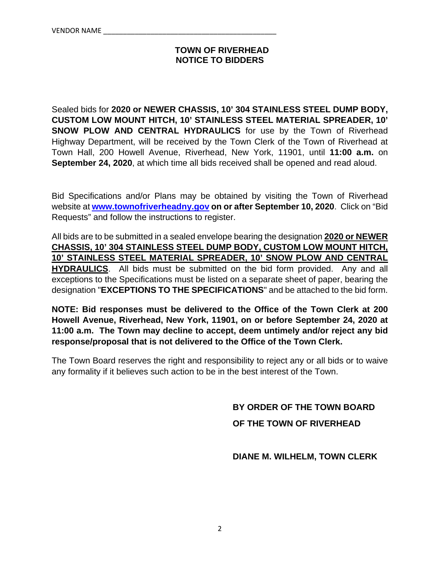### **TOWN OF RIVERHEAD NOTICE TO BIDDERS**

Sealed bids for **2020 or NEWER CHASSIS, 10' 304 STAINLESS STEEL DUMP BODY, CUSTOM LOW MOUNT HITCH, 10' STAINLESS STEEL MATERIAL SPREADER, 10' SNOW PLOW AND CENTRAL HYDRAULICS** for use by the Town of Riverhead Highway Department, will be received by the Town Clerk of the Town of Riverhead at Town Hall, 200 Howell Avenue, Riverhead, New York, 11901, until **11:00 a.m.** on **September 24, 2020**, at which time all bids received shall be opened and read aloud.

Bid Specifications and/or Plans may be obtained by visiting the Town of Riverhead website at **www.townofriverheadny.gov on or after September 10, 2020**. Click on "Bid Requests" and follow the instructions to register.

All bids are to be submitted in a sealed envelope bearing the designation **2020 or NEWER CHASSIS, 10' 304 STAINLESS STEEL DUMP BODY, CUSTOM LOW MOUNT HITCH, 10' STAINLESS STEEL MATERIAL SPREADER, 10' SNOW PLOW AND CENTRAL HYDRAULICS**. All bids must be submitted on the bid form provided. Any and all exceptions to the Specifications must be listed on a separate sheet of paper, bearing the designation "**EXCEPTIONS TO THE SPECIFICATIONS**" and be attached to the bid form.

**NOTE: Bid responses must be delivered to the Office of the Town Clerk at 200 Howell Avenue, Riverhead, New York, 11901, on or before September 24, 2020 at 11:00 a.m. The Town may decline to accept, deem untimely and/or reject any bid response/proposal that is not delivered to the Office of the Town Clerk.**

The Town Board reserves the right and responsibility to reject any or all bids or to waive any formality if it believes such action to be in the best interest of the Town.

**BY ORDER OF THE TOWN BOARD** 

 **OF THE TOWN OF RIVERHEAD** 

 **DIANE M. WILHELM, TOWN CLERK**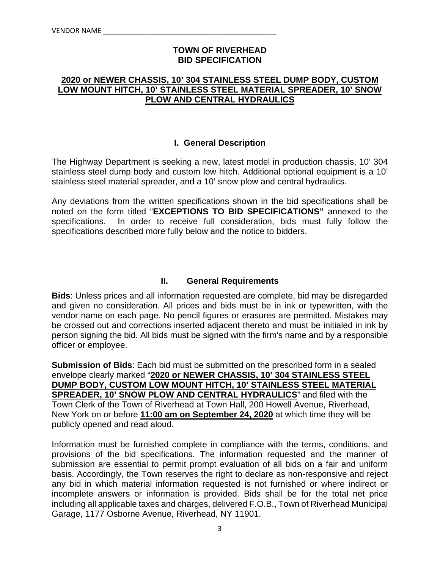#### **TOWN OF RIVERHEAD BID SPECIFICATION**

#### **2020 or NEWER CHASSIS, 10' 304 STAINLESS STEEL DUMP BODY, CUSTOM LOW MOUNT HITCH, 10' STAINLESS STEEL MATERIAL SPREADER, 10' SNOW PLOW AND CENTRAL HYDRAULICS**

#### **I. General Description**

The Highway Department is seeking a new, latest model in production chassis, 10' 304 stainless steel dump body and custom low hitch. Additional optional equipment is a 10' stainless steel material spreader, and a 10' snow plow and central hydraulics.

Any deviations from the written specifications shown in the bid specifications shall be noted on the form titled "**EXCEPTIONS TO BID SPECIFICATIONS"** annexed to the specifications. In order to receive full consideration, bids must fully follow the specifications described more fully below and the notice to bidders.

#### **II. General Requirements**

**Bids**: Unless prices and all information requested are complete, bid may be disregarded and given no consideration. All prices and bids must be in ink or typewritten, with the vendor name on each page. No pencil figures or erasures are permitted. Mistakes may be crossed out and corrections inserted adjacent thereto and must be initialed in ink by person signing the bid. All bids must be signed with the firm's name and by a responsible officer or employee.

**Submission of Bids**: Each bid must be submitted on the prescribed form in a sealed envelope clearly marked "**2020 or NEWER CHASSIS, 10' 304 STAINLESS STEEL DUMP BODY, CUSTOM LOW MOUNT HITCH, 10' STAINLESS STEEL MATERIAL SPREADER, 10' SNOW PLOW AND CENTRAL HYDRAULICS**" and filed with the Town Clerk of the Town of Riverhead at Town Hall, 200 Howell Avenue, Riverhead, New York on or before **11:00 am on September 24, 2020** at which time they will be publicly opened and read aloud.

Information must be furnished complete in compliance with the terms, conditions, and provisions of the bid specifications. The information requested and the manner of submission are essential to permit prompt evaluation of all bids on a fair and uniform basis. Accordingly, the Town reserves the right to declare as non-responsive and reject any bid in which material information requested is not furnished or where indirect or incomplete answers or information is provided. Bids shall be for the total net price including all applicable taxes and charges, delivered F.O.B., Town of Riverhead Municipal Garage, 1177 Osborne Avenue, Riverhead, NY 11901.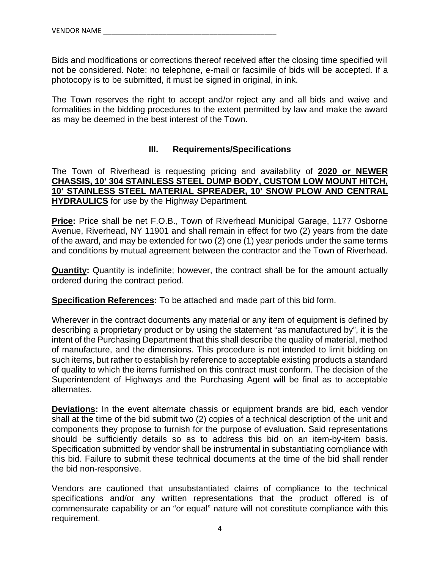Bids and modifications or corrections thereof received after the closing time specified will not be considered. Note: no telephone, e-mail or facsimile of bids will be accepted. If a photocopy is to be submitted, it must be signed in original, in ink.

The Town reserves the right to accept and/or reject any and all bids and waive and formalities in the bidding procedures to the extent permitted by law and make the award as may be deemed in the best interest of the Town.

#### **III. Requirements/Specifications**

The Town of Riverhead is requesting pricing and availability of **2020 or NEWER CHASSIS, 10' 304 STAINLESS STEEL DUMP BODY, CUSTOM LOW MOUNT HITCH, 10' STAINLESS STEEL MATERIAL SPREADER, 10' SNOW PLOW AND CENTRAL HYDRAULICS** for use by the Highway Department.

**Price:** Price shall be net F.O.B., Town of Riverhead Municipal Garage, 1177 Osborne Avenue, Riverhead, NY 11901 and shall remain in effect for two (2) years from the date of the award, and may be extended for two (2) one (1) year periods under the same terms and conditions by mutual agreement between the contractor and the Town of Riverhead.

**Quantity:** Quantity is indefinite; however, the contract shall be for the amount actually ordered during the contract period.

**Specification References:** To be attached and made part of this bid form.

Wherever in the contract documents any material or any item of equipment is defined by describing a proprietary product or by using the statement "as manufactured by", it is the intent of the Purchasing Department that this shall describe the quality of material, method of manufacture, and the dimensions. This procedure is not intended to limit bidding on such items, but rather to establish by reference to acceptable existing products a standard of quality to which the items furnished on this contract must conform. The decision of the Superintendent of Highways and the Purchasing Agent will be final as to acceptable alternates.

**Deviations:** In the event alternate chassis or equipment brands are bid, each vendor shall at the time of the bid submit two (2) copies of a technical description of the unit and components they propose to furnish for the purpose of evaluation. Said representations should be sufficiently details so as to address this bid on an item-by-item basis. Specification submitted by vendor shall be instrumental in substantiating compliance with this bid. Failure to submit these technical documents at the time of the bid shall render the bid non-responsive.

Vendors are cautioned that unsubstantiated claims of compliance to the technical specifications and/or any written representations that the product offered is of commensurate capability or an "or equal" nature will not constitute compliance with this requirement.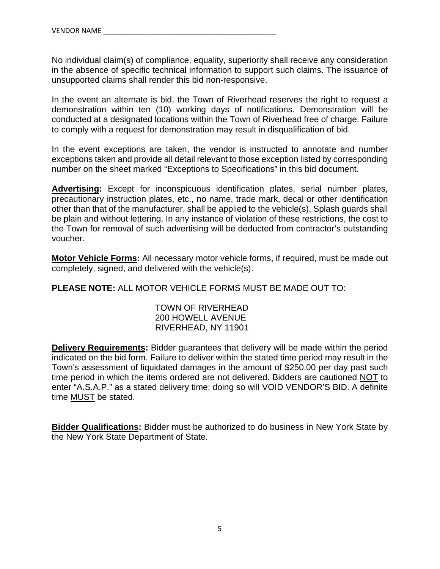No individual claim(s) of compliance, equality, superiority shall receive any consideration in the absence of specific technical information to support such claims. The issuance of unsupported claims shall render this bid non-responsive.

In the event an alternate is bid, the Town of Riverhead reserves the right to request a demonstration within ten (10) working days of notifications. Demonstration will be conducted at a designated locations within the Town of Riverhead free of charge. Failure to comply with a request for demonstration may result in disqualification of bid.

In the event exceptions are taken, the vendor is instructed to annotate and number exceptions taken and provide all detail relevant to those exception listed by corresponding number on the sheet marked "Exceptions to Specifications" in this bid document.

**Advertising:** Except for inconspicuous identification plates, serial number plates, precautionary instruction plates, etc., no name, trade mark, decal or other identification other than that of the manufacturer, shall be applied to the vehicle(s). Splash guards shall be plain and without lettering. In any instance of violation of these restrictions, the cost to the Town for removal of such advertising will be deducted from contractor's outstanding voucher.

**Motor Vehicle Forms:** All necessary motor vehicle forms, if required, must be made out completely, signed, and delivered with the vehicle(s).

**PLEASE NOTE:** ALL MOTOR VEHICLE FORMS MUST BE MADE OUT TO:

 TOWN OF RIVERHEAD 200 HOWELL AVENUE RIVERHEAD, NY 11901

**Delivery Requirements:** Bidder guarantees that delivery will be made within the period indicated on the bid form. Failure to deliver within the stated time period may result in the Town's assessment of liquidated damages in the amount of \$250.00 per day past such time period in which the items ordered are not delivered. Bidders are cautioned NOT to enter "A.S.A.P." as a stated delivery time; doing so will VOID VENDOR'S BID. A definite time MUST be stated.

**Bidder Qualifications:** Bidder must be authorized to do business in New York State by the New York State Department of State.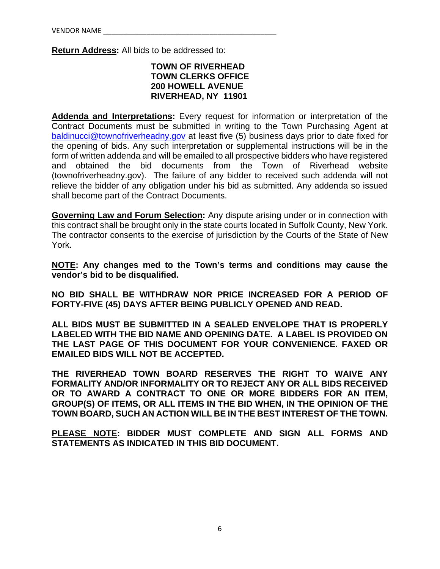**Return Address:** All bids to be addressed to:

#### **TOWN OF RIVERHEAD TOWN CLERKS OFFICE 200 HOWELL AVENUE RIVERHEAD, NY 11901**

**Addenda and Interpretations:** Every request for information or interpretation of the Contract Documents must be submitted in writing to the Town Purchasing Agent at baldinucci@townofriverheadny.gov at least five (5) business days prior to date fixed for the opening of bids. Any such interpretation or supplemental instructions will be in the form of written addenda and will be emailed to all prospective bidders who have registered and obtained the bid documents from the Town of Riverhead website (townofriverheadny.gov). The failure of any bidder to received such addenda will not relieve the bidder of any obligation under his bid as submitted. Any addenda so issued shall become part of the Contract Documents.

**Governing Law and Forum Selection:** Any dispute arising under or in connection with this contract shall be brought only in the state courts located in Suffolk County, New York. The contractor consents to the exercise of jurisdiction by the Courts of the State of New York.

**NOTE: Any changes med to the Town's terms and conditions may cause the vendor's bid to be disqualified.** 

**NO BID SHALL BE WITHDRAW NOR PRICE INCREASED FOR A PERIOD OF FORTY-FIVE (45) DAYS AFTER BEING PUBLICLY OPENED AND READ.** 

**ALL BIDS MUST BE SUBMITTED IN A SEALED ENVELOPE THAT IS PROPERLY LABELED WITH THE BID NAME AND OPENING DATE. A LABEL IS PROVIDED ON THE LAST PAGE OF THIS DOCUMENT FOR YOUR CONVENIENCE. FAXED OR EMAILED BIDS WILL NOT BE ACCEPTED.** 

**THE RIVERHEAD TOWN BOARD RESERVES THE RIGHT TO WAIVE ANY FORMALITY AND/OR INFORMALITY OR TO REJECT ANY OR ALL BIDS RECEIVED OR TO AWARD A CONTRACT TO ONE OR MORE BIDDERS FOR AN ITEM, GROUP(S) OF ITEMS, OR ALL ITEMS IN THE BID WHEN, IN THE OPINION OF THE TOWN BOARD, SUCH AN ACTION WILL BE IN THE BEST INTEREST OF THE TOWN.** 

**PLEASE NOTE: BIDDER MUST COMPLETE AND SIGN ALL FORMS AND STATEMENTS AS INDICATED IN THIS BID DOCUMENT.**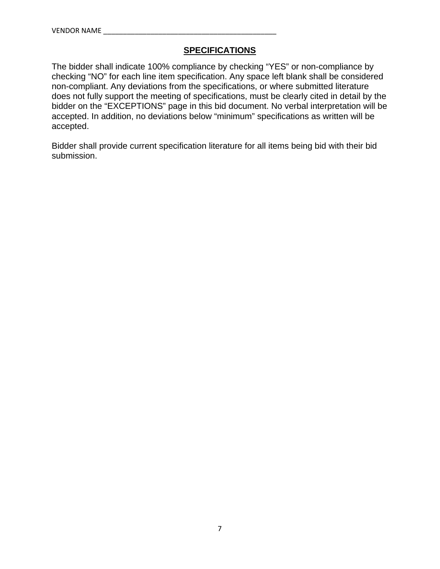## **SPECIFICATIONS**

The bidder shall indicate 100% compliance by checking "YES" or non-compliance by checking "NO" for each line item specification. Any space left blank shall be considered non-compliant. Any deviations from the specifications, or where submitted literature does not fully support the meeting of specifications, must be clearly cited in detail by the bidder on the "EXCEPTIONS" page in this bid document. No verbal interpretation will be accepted. In addition, no deviations below "minimum" specifications as written will be accepted.

Bidder shall provide current specification literature for all items being bid with their bid submission.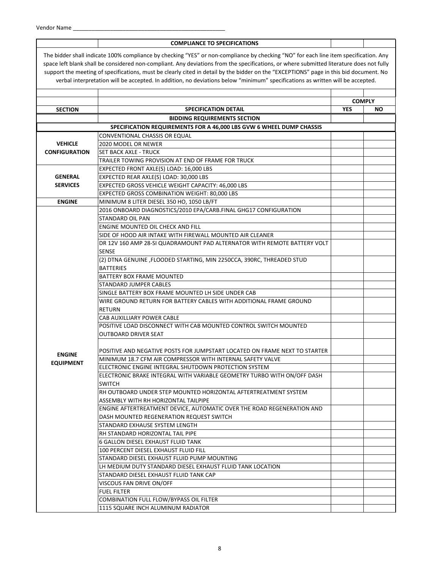#### **COMPLIANCE TO SPECIFICATIONS**

The bidder shall indicate 100% compliance by checking "YES" or non‐compliance by checking "NO" for each line item specification. Any space left blank shall be considered non-compliant. Any deviations from the specifications, or where submitted literature does not fully support the meeting of specifications, must be clearly cited in detail by the bidder on the "EXCEPTIONS" page in this bid document. No verbal interpretation will be accepted. In addition, no deviations below "minimum" specifications as written will be accepted.

| <b>SECTION</b>       | <b>SPECIFICATION DETAIL</b>                                                | <b>YES</b> | <b>COMPLY</b><br>ΝO |
|----------------------|----------------------------------------------------------------------------|------------|---------------------|
|                      | <b>BIDDING REQUIREMENTS SECTION</b>                                        |            |                     |
|                      | SPECIFICATION REQUIREMENTS FOR A 46,000 LBS GVW 6 WHEEL DUMP CHASSIS       |            |                     |
|                      | CONVENTIONAL CHASSIS OR EQUAL                                              |            |                     |
| <b>VEHICLE</b>       | 2020 MODEL OR NEWER                                                        |            |                     |
| <b>CONFIGURATION</b> | <b>SET BACK AXLE - TRUCK</b>                                               |            |                     |
|                      | TRAILER TOWING PROVISION AT END OF FRAME FOR TRUCK                         |            |                     |
|                      | EXPECTED FRONT AXLE(S) LOAD: 16,000 LBS                                    |            |                     |
| <b>GENERAL</b>       | EXPECTED REAR AXLE(S) LOAD: 30,000 LBS                                     |            |                     |
| <b>SERVICES</b>      | EXPECTED GROSS VEHICLE WEIGHT CAPACITY: 46,000 LBS                         |            |                     |
|                      | EXPECTED GROSS COMBINATION WEIGHT: 80,000 LBS                              |            |                     |
| <b>ENGINE</b>        | MINIMUM 8 LITER DIESEL 350 HO, 1050 LB/FT                                  |            |                     |
|                      | 2016 ONBOARD DIAGNOSTICS/2010 EPA/CARB.FINAL GHG17 CONFIGURATION           |            |                     |
|                      | STANDARD OIL PAN                                                           |            |                     |
|                      | ENGINE MOUNTED OIL CHECK AND FILL                                          |            |                     |
|                      | SIDE OF HOOD AIR INTAKE WITH FIREWALL MOUNTED AIR CLEANER                  |            |                     |
|                      | DR 12V 160 AMP 28-SI QUADRAMOUNT PAD ALTERNATOR WITH REMOTE BATTERY VOLT   |            |                     |
|                      | <b>SENSE</b>                                                               |            |                     |
|                      | (2) DTNA GENUINE , FLOODED STARTING, MIN 2250CCA, 390RC, THREADED STUD     |            |                     |
|                      | <b>BATTERIES</b>                                                           |            |                     |
|                      | BATTERY BOX FRAME MOUNTED                                                  |            |                     |
|                      | STANDARD JUMPER CABLES                                                     |            |                     |
|                      | SINGLE BATTERY BOX FRAME MOUNTED LH SIDE UNDER CAB                         |            |                     |
|                      | WIRE GROUND RETURN FOR BATTERY CABLES WITH ADDITIONAL FRAME GROUND         |            |                     |
|                      | <b>RETURN</b>                                                              |            |                     |
|                      | CAB AUXILLIARY POWER CABLE                                                 |            |                     |
|                      | POSITIVE LOAD DISCONNECT WITH CAB MOUNTED CONTROL SWITCH MOUNTED           |            |                     |
|                      | <b>OUTBOARD DRIVER SEAT</b>                                                |            |                     |
|                      |                                                                            |            |                     |
|                      | POSITIVE AND NEGATIVE POSTS FOR JUMPSTART LOCATED ON FRAME NEXT TO STARTER |            |                     |
| <b>ENGINE</b>        | MINIMUM 18.7 CFM AIR COMPRESSOR WITH INTERNAL SAFETY VALVE                 |            |                     |
| <b>EQUIPMENT</b>     | ELECTRONIC ENGINE INTEGRAL SHUTDOWN PROTECTION SYSTEM                      |            |                     |
|                      | ELECTRONIC BRAKE INTEGRAL WITH VARIABLE GEOMETRY TURBO WITH ON/OFF DASH    |            |                     |
|                      | <b>SWITCH</b>                                                              |            |                     |
|                      | RH OUTBOARD UNDER STEP MOUNTED HORIZONTAL AFTERTREATMENT SYSTEM            |            |                     |
|                      | ASSEMBLY WITH RH HORIZONTAL TAILPIPE                                       |            |                     |
|                      | ENGINE AFTERTREATMENT DEVICE, AUTOMATIC OVER THE ROAD REGENERATION AND     |            |                     |
|                      | DASH MOUNTED REGENERATION REQUEST SWITCH                                   |            |                     |
|                      | STANDARD EXHAUSE SYSTEM LENGTH                                             |            |                     |
|                      | RH STANDARD HORIZONTAL TAIL PIPE                                           |            |                     |
|                      | 6 GALLON DIESEL EXHAUST FLUID TANK                                         |            |                     |
|                      | 100 PERCENT DIESEL EXHAUST FLUID FILL                                      |            |                     |
|                      | STANDARD DIESEL EXHAUST FLUID PUMP MOUNTING                                |            |                     |
|                      | LH MEDIUM DUTY STANDARD DIESEL EXHAUST FLUID TANK LOCATION                 |            |                     |
|                      | STANDARD DIESEL EXHAUST FLUID TANK CAP                                     |            |                     |
|                      | VISCOUS FAN DRIVE ON/OFF                                                   |            |                     |
|                      | <b>FUEL FILTER</b>                                                         |            |                     |
|                      | COMBINATION FULL FLOW/BYPASS OIL FILTER                                    |            |                     |
|                      | 1115 SQUARE INCH ALUMINUM RADIATOR                                         |            |                     |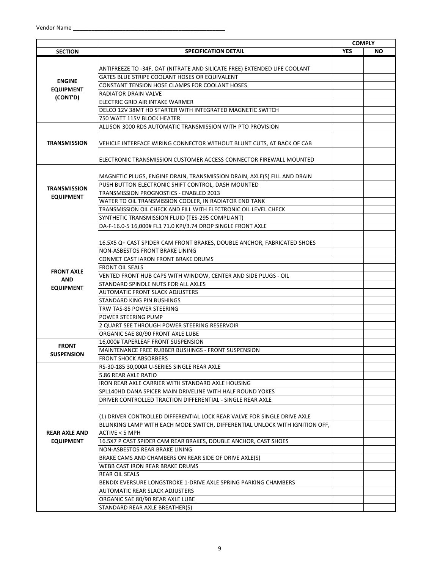|                      |                                                                               |            | <b>COMPLY</b> |
|----------------------|-------------------------------------------------------------------------------|------------|---------------|
| <b>SECTION</b>       | <b>SPECIFICATION DETAIL</b>                                                   | <b>YES</b> | ΝO            |
|                      |                                                                               |            |               |
|                      | ANTIFREEZE TO -34F, OAT (NITRATE AND SILICATE FREE) EXTENDED LIFE COOLANT     |            |               |
|                      | GATES BLUE STRIPE COOLANT HOSES OR EQUIVALENT                                 |            |               |
| <b>ENGINE</b>        | <b>CONSTANT TENSION HOSE CLAMPS FOR COOLANT HOSES</b>                         |            |               |
| <b>EQUIPMENT</b>     | <b>RADIATOR DRAIN VALVE</b>                                                   |            |               |
| (CONT'D)             | ELECTRIC GRID AIR INTAKE WARMER                                               |            |               |
|                      | DELCO 12V 38MT HD STARTER WITH INTEGRATED MAGNETIC SWITCH                     |            |               |
|                      | 750 WATT 115V BLOCK HEATER                                                    |            |               |
|                      | ALLISON 3000 RDS AUTOMATIC TRANSMISSION WITH PTO PROVISION                    |            |               |
| <b>TRANSMISSION</b>  | VEHICLE INTERFACE WIRING CONNECTOR WITHOUT BLUNT CUTS, AT BACK OF CAB         |            |               |
|                      | ELECTRONIC TRANSMISSION CUSTOMER ACCESS CONNECTOR FIREWALL MOUNTED            |            |               |
|                      | MAGNETIC PLUGS, ENGINE DRAIN, TRANSMISSION DRAIN, AXLE(S) FILL AND DRAIN      |            |               |
|                      | PUSH BUTTON ELECTRONIC SHIFT CONTROL, DASH MOUNTED                            |            |               |
| <b>TRANSMISSION</b>  | TRANSMISSION PROGNOSTICS - ENABLED 2013                                       |            |               |
| <b>EQUIPMENT</b>     | WATER TO OIL TRANSMISSION COOLER, IN RADIATOR END TANK                        |            |               |
|                      | TRANSMISSION OIL CHECK AND FILL WITH ELECTRONIC OIL LEVEL CHECK               |            |               |
|                      | SYNTHETIC TRANSMISSION FLUID (TES-295 COMPLIANT)                              |            |               |
|                      | DA-F-16.0-5 16,000# FL1 71.0 KPI/3.74 DROP SINGLE FRONT AXLE                  |            |               |
|                      |                                                                               |            |               |
|                      | 16.5X5 Q+ CAST SPIDER CAM FRONT BRAKES, DOUBLE ANCHOR, FABRICATED SHOES       |            |               |
|                      | NON-ASBESTOS FRONT BRAKE LINING                                               |            |               |
|                      | CONMET CAST IARON FRONT BRAKE DRUMS                                           |            |               |
|                      | <b>FRONT OIL SEALS</b>                                                        |            |               |
| <b>FRONT AXLE</b>    | VENTED FRONT HUB CAPS WITH WINDOW, CENTER AND SIDE PLUGS - OIL                |            |               |
| <b>AND</b>           |                                                                               |            |               |
| <b>EQUIPMENT</b>     | STANDARD SPINDLE NUTS FOR ALL AXLES<br><b>AUTOMATIC FRONT SLACK ADJUSTERS</b> |            |               |
|                      |                                                                               |            |               |
|                      | STANDARD KING PIN BUSHINGS                                                    |            |               |
|                      | TRW TAS-85 POWER STEERING                                                     |            |               |
|                      | POWER STEERING PUMP                                                           |            |               |
|                      | 2 QUART SEE THROUGH POWER STEERING RESERVOIR                                  |            |               |
|                      | ORGANIC SAE 80/90 FRONT AXLE LUBE                                             |            |               |
| <b>FRONT</b>         | 16,000# TAPERLEAF FRONT SUSPENSION                                            |            |               |
| <b>SUSPENSION</b>    | MAINTENANCE FREE RUBBER BUSHINGS - FRONT SUSPENSION                           |            |               |
|                      | <b>FRONT SHOCK ABSORBERS</b>                                                  |            |               |
|                      | RS-30-185 30,000# U-SERIES SINGLE REAR AXLE                                   |            |               |
|                      | 5.86 REAR AXLE RATIO                                                          |            |               |
|                      | IRON REAR AXLE CARRIER WITH STANDARD AXLE HOUSING                             |            |               |
|                      | SPL140HD DANA SPICER MAIN DRIVELINE WITH HALF ROUND YOKES                     |            |               |
|                      | DRIVER CONTROLLED TRACTION DIFFERENTIAL - SINGLE REAR AXLE                    |            |               |
|                      | (1) DRIVER CONTROLLED DIFFERENTIAL LOCK REAR VALVE FOR SINGLE DRIVE AXLE      |            |               |
|                      | BLLINKING LAMP WITH EACH MODE SWITCH, DIFFERENTIAL UNLOCK WITH IGNITION OFF,  |            |               |
| <b>REAR AXLE AND</b> | <b>ACTIVE &lt; 5 MPH</b>                                                      |            |               |
| <b>EQUIPMENT</b>     | 16.5X7 P CAST SPIDER CAM REAR BRAKES, DOUBLE ANCHOR, CAST SHOES               |            |               |
|                      | NON-ASBESTOS REAR BRAKE LINING                                                |            |               |
|                      | BRAKE CAMS AND CHAMBERS ON REAR SIDE OF DRIVE AXLE(S)                         |            |               |
|                      | WEBB CAST IRON REAR BRAKE DRUMS                                               |            |               |
|                      | <b>REAR OIL SEALS</b>                                                         |            |               |
|                      | BENDIX EVERSURE LONGSTROKE 1-DRIVE AXLE SPRING PARKING CHAMBERS               |            |               |
|                      | <b>AUTOMATIC REAR SLACK ADJUSTERS</b>                                         |            |               |
|                      | ORGANIC SAE 80/90 REAR AXLE LUBE                                              |            |               |
|                      | STANDARD REAR AXLE BREATHER(S)                                                |            |               |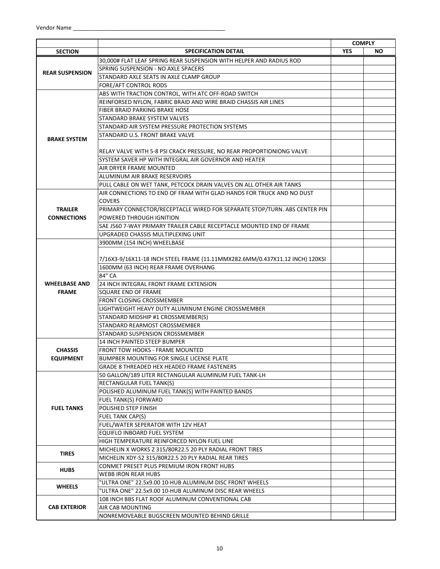|                        |                                                                              |            | <b>COMPLY</b> |
|------------------------|------------------------------------------------------------------------------|------------|---------------|
| <b>SECTION</b>         | <b>SPECIFICATION DETAIL</b>                                                  | <b>YES</b> | <b>NO</b>     |
|                        | 30,000# FLAT LEAF SPRING REAR SUSPENSION WITH HELPER AND RADIUS ROD          |            |               |
| <b>REAR SUSPENSION</b> | SPRING SUSPENSION - NO AXLE SPACERS                                          |            |               |
|                        | STANDARD AXLE SEATS IN AXLE CLAMP GROUP                                      |            |               |
|                        | FORE/AFT CONTROL RODS                                                        |            |               |
|                        | ABS WITH TRACTION CONTROL, WITH ATC OFF-ROAD SWITCH                          |            |               |
|                        | REINFORSED NYLON, FABRIC BRAID AND WIRE BRAID CHASSIS AIR LINES              |            |               |
|                        | FIBER BRAID PARKING BRAKE HOSE                                               |            |               |
|                        | STANDARD BRAKE SYSTEM VALVES                                                 |            |               |
|                        | STANDARD AIR SYSTEM PRESSURE PROTECTION SYSTEMS                              |            |               |
|                        | STANDARD U.S. FRONT BRAKE VALVE                                              |            |               |
| <b>BRAKE SYSTEM</b>    |                                                                              |            |               |
|                        | RELAY VALVE WITH 5-8 PSI CRACK PRESSURE, NO REAR PROPORTIONIONG VALVE        |            |               |
|                        | SYSTEM SAVER HP WITH INTEGRAL AIR GOVERNOR AND HEATER                        |            |               |
|                        | AIR DRYER FRAME MOUNTED                                                      |            |               |
|                        | ALUMINUM AIR BRAKE RESERVOIRS                                                |            |               |
|                        |                                                                              |            |               |
|                        | PULL CABLE ON WET TANK, PETCOCK DRAIN VALVES ON ALL OTHER AIR TANKS          |            |               |
|                        | AIR CONNECTIONS TO END OF FRAM WITH GLAD HANDS FOR TRUCK AND NO DUST         |            |               |
|                        | <b>COVERS</b>                                                                |            |               |
| <b>TRAILER</b>         | PRIMARY CONNECTOR/RECEPTACLE WIRED FOR SEPARATE STOP/TURN. ABS CENTER PIN    |            |               |
| <b>CONNECTIONS</b>     | POWERED THROUGH IGNITION                                                     |            |               |
|                        | SAE J560 7-WAY PRIMARY TRAILER CABLE RECEPTACLE MOUNTED END OF FRAME         |            |               |
|                        | UPGRADED CHASSIS MULTIPLEXING UNIT                                           |            |               |
|                        | 3900MM (154 INCH) WHEELBASE                                                  |            |               |
|                        |                                                                              |            |               |
|                        | 7/16X3-9/16X11-18 INCH STEEL FRAME (11.11MMX282.6MM/0.437X11.12 INCH) 120KSI |            |               |
|                        | 1600MM (63 INCH) REAR FRAME OVERHANG                                         |            |               |
|                        | 84" CA                                                                       |            |               |
| <b>WHEELBASE AND</b>   | 24 INCH INTEGRAL FRONT FRAME EXTENSION                                       |            |               |
| <b>FRAME</b>           | SQUARE END OF FRAME                                                          |            |               |
|                        | FRONT CLOSING CROSSMEMBER                                                    |            |               |
|                        | LIGHTWEIGHT HEAVY DUTY ALUMINUM ENGINE CROSSMEMBER                           |            |               |
|                        | STANDARD MIDSHIP #1 CROSSMEMBER(S)                                           |            |               |
|                        | STANDARD REARMOST CROSSMEMBER                                                |            |               |
|                        | STANDARD SUSPENSION CROSSMEMBER                                              |            |               |
|                        | <b>14 INCH PAINTED STEEP BUMPER</b>                                          |            |               |
| <b>CHASSIS</b>         | <b>FRONT TOW HOOKS - FRAME MOUNTED</b>                                       |            |               |
| <b>EQUIPMENT</b>       | BUMPBER MOUNTING FOR SINGLE LICENSE PLATE                                    |            |               |
|                        |                                                                              |            |               |
|                        | <b>GRADE 8 THREADED HEX HEADED FRAME FASTENERS</b>                           |            |               |
|                        | 50 GALLON/189 LITER RECTANGULAR ALUMINUM FUEL TANK-LH                        |            |               |
|                        | RECTANGULAR FUEL TANK(S)                                                     |            |               |
|                        | POLISHED ALUMINUM FUEL TANK(S) WITH PAINTED BANDS                            |            |               |
|                        | FUEL TANK(S) FORWARD                                                         |            |               |
| <b>FUEL TANKS</b>      | POLISHED STEP FINISH                                                         |            |               |
|                        | <b>FUEL TANK CAP(S)</b>                                                      |            |               |
|                        | FUEL/WATER SEPERATOR WITH 12V HEAT                                           |            |               |
|                        | EQUIFLO INBOARD FUEL SYSTEM                                                  |            |               |
|                        | HIGH TEMPERATURE REINFORCED NYLON FUEL LINE                                  |            |               |
| <b>TIRES</b>           | MICHELIN X WORKS Z 315/80R22.5 20 PLY RADIAL FRONT TIRES                     |            |               |
|                        | MICHELIN XDY-S2 315/80R22.5 20 PLY RADIAL REAR TIRES                         |            |               |
|                        | CONMET PRESET PLUS PREMIUM IRON FRONT HUBS                                   |            |               |
| <b>HUBS</b>            | WEBB IRON REAR HUBS                                                          |            |               |
|                        | "ULTRA ONE" 22.5x9.00 10-HUB ALUMINUM DISC FRONT WHEELS                      |            |               |
| <b>WHEELS</b>          | "ULTRA ONE" 22.5x9.00 10-HUB ALUMINUM DISC REAR WHEELS                       |            |               |
|                        | 108 INCH BBS FLAT ROOF ALUMINUM CONVENTIONAL CAB                             |            |               |
| <b>CAB EXTERIOR</b>    | AIR CAB MOUNTING                                                             |            |               |
|                        | NONREMOVEABLE BUGSCREEN MOUNTED BEHIND GRILLE                                |            |               |
|                        |                                                                              |            |               |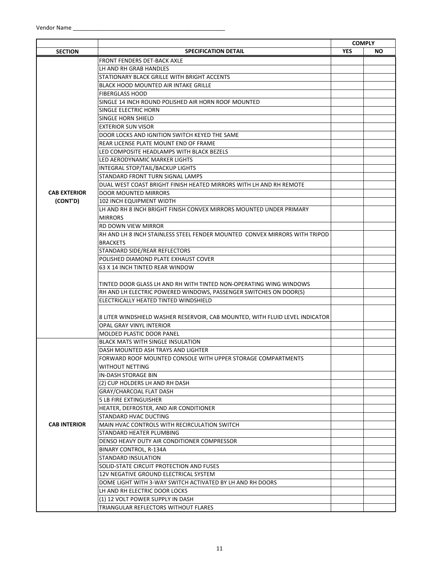|                     |                                                                              | <b>COMPLY</b> |     |
|---------------------|------------------------------------------------------------------------------|---------------|-----|
| <b>SECTION</b>      | <b>SPECIFICATION DETAIL</b>                                                  | <b>YES</b>    | NO. |
|                     | <b>FRONT FENDERS DET-BACK AXLE</b>                                           |               |     |
|                     | LH AND RH GRAB HANDLES                                                       |               |     |
|                     | STATIONARY BLACK GRILLE WITH BRIGHT ACCENTS                                  |               |     |
|                     | BLACK HOOD MOUNTED AIR INTAKE GRILLE                                         |               |     |
|                     | <b>FIBERGLASS HOOD</b>                                                       |               |     |
|                     | SINGLE 14 INCH ROUND POLISHED AIR HORN ROOF MOUNTED                          |               |     |
|                     | SINGLE ELECTRIC HORN                                                         |               |     |
|                     | SINGLE HORN SHIELD                                                           |               |     |
|                     | <b>EXTERIOR SUN VISOR</b>                                                    |               |     |
|                     | DOOR LOCKS AND IGNITION SWITCH KEYED THE SAME                                |               |     |
|                     | REAR LICENSE PLATE MOUNT END OF FRAME                                        |               |     |
|                     | LED COMPOSITE HEADLAMPS WITH BLACK BEZELS                                    |               |     |
|                     | LED AERODYNAMIC MARKER LIGHTS                                                |               |     |
|                     | INTEGRAL STOP/TAIL/BACKUP LIGHTS                                             |               |     |
|                     | STANDARD FRONT TURN SIGNAL LAMPS                                             |               |     |
|                     | DUAL WEST COAST BRIGHT FINISH HEATED MIRRORS WITH LH AND RH REMOTE           |               |     |
| <b>CAB EXTERIOR</b> | <b>DOOR MOUNTED MIRRORS</b>                                                  |               |     |
| (CONT'D)            | 102 INCH EQUIPMENT WIDTH                                                     |               |     |
|                     | LH AND RH 8 INCH BRIGHT FINISH CONVEX MIRRORS MOUNTED UNDER PRIMARY          |               |     |
|                     | <b>MIRRORS</b>                                                               |               |     |
|                     | RD DOWN VIEW MIRROR                                                          |               |     |
|                     | RH AND LH 8 INCH STAINLESS STEEL FENDER MOUNTED CONVEX MIRRORS WITH TRIPOD   |               |     |
|                     | <b>BRACKETS</b>                                                              |               |     |
|                     | STANDARD SIDE/REAR REFLECTORS                                                |               |     |
|                     | POLISHED DIAMOND PLATE EXHAUST COVER                                         |               |     |
|                     | 63 X 14 INCH TINTED REAR WINDOW                                              |               |     |
|                     |                                                                              |               |     |
|                     | TINTED DOOR GLASS LH AND RH WITH TINTED NON-OPERATING WING WINDOWS           |               |     |
|                     | RH AND LH ELECTRIC POWERED WINDOWS, PASSENGER SWITCHES ON DOOR(S)            |               |     |
|                     | ELECTRICALLY HEATED TINTED WINDSHIELD                                        |               |     |
|                     |                                                                              |               |     |
|                     | 8 LITER WINDSHIELD WASHER RESERVOIR, CAB MOUNTED, WITH FLUID LEVEL INDICATOR |               |     |
|                     | OPAL GRAY VINYL INTERIOR                                                     |               |     |
|                     | MOLDED PLASTIC DOOR PANEL                                                    |               |     |
|                     | <b>BLACK MATS WITH SINGLE INSULATION</b>                                     |               |     |
|                     | DASH MOUNTED ASH TRAYS AND LIGHTER                                           |               |     |
|                     | FORWARD ROOF MOUNTED CONSOLE WITH UPPER STORAGE COMPARTMENTS                 |               |     |
|                     | WITHOUT NETTING                                                              |               |     |
|                     | IN-DASH STORAGE BIN                                                          |               |     |
|                     | (2) CUP HOLDERS LH AND RH DASH                                               |               |     |
|                     | GRAY/CHARCOAL FLAT DASH                                                      |               |     |
|                     | <b>5 LB FIRE EXTINGUISHER</b>                                                |               |     |
|                     | HEATER, DEFROSTER, AND AIR CONDITIONER                                       |               |     |
|                     | STANDARD HVAC DUCTING                                                        |               |     |
| <b>CAB INTERIOR</b> | MAIN HVAC CONTROLS WITH RECIRCULATION SWITCH                                 |               |     |
|                     | STANDARD HEATER PLUMBING                                                     |               |     |
|                     | DENSO HEAVY DUTY AIR CONDITIONER COMPRESSOR                                  |               |     |
|                     | BINARY CONTROL, R-134A                                                       |               |     |
|                     | STANDARD INSULATION                                                          |               |     |
|                     | SOLID-STATE CIRCUIT PROTECTION AND FUSES                                     |               |     |
|                     | 12V NEGATIVE GROUND ELECTRICAL SYSTEM                                        |               |     |
|                     | DOME LIGHT WITH 3-WAY SWITCH ACTIVATED BY LH AND RH DOORS                    |               |     |
|                     | LH AND RH ELECTRIC DOOR LOCKS                                                |               |     |
|                     | (1) 12 VOLT POWER SUPPLY IN DASH                                             |               |     |
|                     | TRIANGULAR REFLECTORS WITHOUT FLARES                                         |               |     |
|                     |                                                                              |               |     |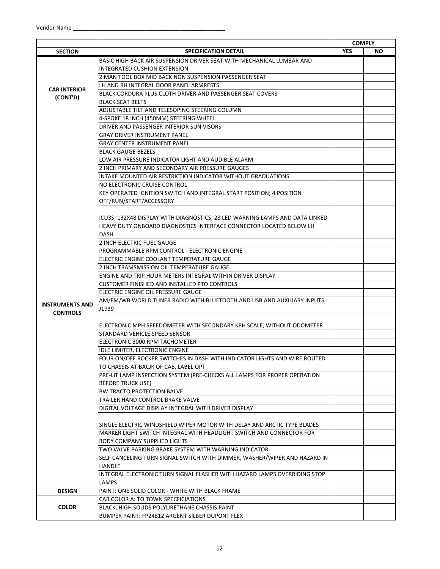|                        |                                                                              | <b>COMPLY</b> |     |
|------------------------|------------------------------------------------------------------------------|---------------|-----|
| <b>SECTION</b>         | <b>SPECIFICATION DETAIL</b>                                                  | <b>YES</b>    | NO. |
|                        | BASIC HIGH BACK AIR SUSPENSION DRIVER SEAT WITH MECHANICAL LUMBAR AND        |               |     |
|                        | INTEGRATED CUSHION EXTENSION                                                 |               |     |
|                        | 2 MAN TOOL BOX MID BACK NON SUSPENSION PASSENGER SEAT                        |               |     |
|                        | LH AND RH INTEGRAL DOOR PANEL ARMRESTS                                       |               |     |
| <b>CAB INTERIOR</b>    | BLACK CORDURA PLUS CLOTH DRIVER AND PASSENGER SEAT COVERS                    |               |     |
| (CONT'D)               | <b>BLACK SEAT BELTS</b>                                                      |               |     |
|                        | ADJUSTABLE TILT AND TELESOPING STEERING COLUMN                               |               |     |
|                        | 4-SPOKE 18 INCH (450MM) STEERING WHEEL                                       |               |     |
|                        | DRIVER AND PASSENGER INTERIOR SUN VISORS                                     |               |     |
|                        | GRAY DRIVER INSTRUMENT PANEL                                                 |               |     |
|                        | <b>GRAY CENTER INSTRUMENT PANEL</b>                                          |               |     |
|                        | <b>BLACK GAUGE BEZELS</b>                                                    |               |     |
|                        | LOW AIR PRESSURE INDICATOR LIGHT AND AUDIBLE ALARM                           |               |     |
|                        | 2 INCH PRIMARY AND SECONDARY AIR PRESSURE GAUGES                             |               |     |
|                        | INTAKE MOUNTED AIR RESTRICTION INDICATOR WITHOUT GRADUATIONS                 |               |     |
|                        | NO ELECTRONIC CRUISE CONTROL                                                 |               |     |
|                        | KEY OPERATED IGNITION SWITCH AND INTEGRAL START POSITION; 4 POSITION         |               |     |
|                        | OFF/RUN/START/ACCESSORY                                                      |               |     |
|                        |                                                                              |               |     |
|                        | ICU3S, 132X48 DISPLAY WITH DIAGNOSTICS, 28 LED WARNING LAMPS AND DATA LINKED |               |     |
|                        | HEAVY DUTY ONBOARD DIAGNOSTICS INTERFACE CONNECTOR LOCATED BELOW LH          |               |     |
|                        | DASH                                                                         |               |     |
|                        | 2 INCH ELECTRIC FUEL GAUGE                                                   |               |     |
|                        | PROGRAMMABLE RPM CONTROL - ELECTRONIC ENGINE                                 |               |     |
|                        | ELECTRIC ENGINE COOLANT TEMPERATURE GAUGE                                    |               |     |
|                        | 2 INCH TRAMSMISSION OIL TEMPERATURE GAUGE                                    |               |     |
|                        | ENGINE AND TRIP HOUR METERS INTEGRAL WITHIN DRIVER DISPLAY                   |               |     |
|                        | <b>CUSTOMER FINISHED AND INSTALLED PTO CONTROLS</b>                          |               |     |
|                        | ELECTRIC ENGINE OIL PRESSURE GAUGE                                           |               |     |
|                        | AM/FM/WB WORLD TUNER RADIO WITH BLUETOOTH AND USB AND AUXILIARY INPUTS,      |               |     |
| <b>INSTRUMENTS AND</b> | J1939                                                                        |               |     |
| <b>CONTROLS</b>        |                                                                              |               |     |
|                        | ELECTRONIC MPH SPEEDOMETER WITH SECONDARY KPH SCALE, WITHOUT ODOMETER        |               |     |
|                        | STANDARD VEHICLE SPEED SENSOR                                                |               |     |
|                        | ELECTRONIC 3000 RPM TACHOMETER                                               |               |     |
|                        | IDLE LIMITER, ELECTRONIC ENGINE                                              |               |     |
|                        | FOUR ON/OFF ROCKER SWITCHES IN DASH WITH INDICATOR LIGHTS AND WIRE ROUTED    |               |     |
|                        | TO CHASSIS AT BACJK OF CAB, LABEL OPT                                        |               |     |
|                        | PRE-LIT LAMP INSPECTION SYSTEM (PRE-CHECKS ALL LAMPS FOR PROPER OPERATION    |               |     |
|                        | <b>BEFORE TRUCK USE)</b>                                                     |               |     |
|                        | <b>BW TRACTO PROTECTION BALVE</b>                                            |               |     |
|                        | TRAILER HAND CONTROL BRAKE VALVE                                             |               |     |
|                        | DIGITAL VOLTAGE DISPLAY INTEGRAL WITH DRIVER DISPLAY                         |               |     |
|                        |                                                                              |               |     |
|                        | SINGLE ELECTRIC WINDSHIELD WIPER MOTOR WITH DELAY AND ARCTIC TYPE BLADES     |               |     |
|                        | MARKER LIGHT SWITCH INTEGRAL WITH HEADLIGHT SWITCH AND CONNECTOR FOR         |               |     |
|                        | <b>BODY COMPANY SUPPLIED LIGHTS</b>                                          |               |     |
|                        | TWO VALVE PARKING BRAKE SYSTEM WITH WARNING INDICATOR                        |               |     |
|                        | SELF CANCELING TURN SIGNAL SWITCH WITH DIMMER, WASHER/WIPER AND HAZARD IN    |               |     |
|                        | <b>HANDLE</b>                                                                |               |     |
|                        | INTEGRAL ELECTRONIC TURN SIGNAL FLASHER WITH HAZARD LAMPS OVERRIDING STOP    |               |     |
|                        | LAMPS                                                                        |               |     |
| <b>DESIGN</b>          | PAINT: ONE SOLID COLOR - WHITE WITH BLACK FRAME                              |               |     |
|                        | CAB COLOR A: TO TOWN SPECFICIATIONS                                          |               |     |
| <b>COLOR</b>           | BLACK, HIGH SOLIDS POLYURETHANE CHASSIS PAINT                                |               |     |
|                        | BUMPER PAINT: FP24812 ARGENT SILBER DUPONT FLEX                              |               |     |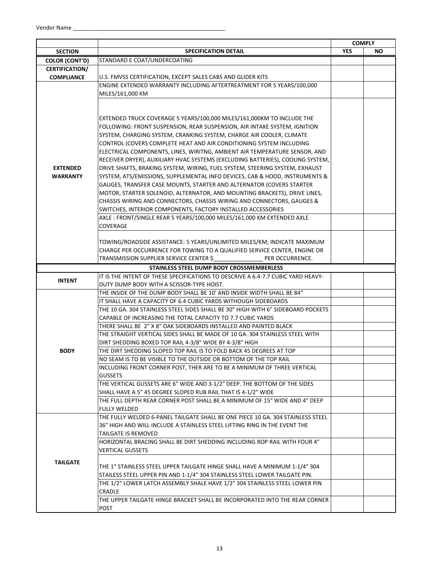|                       |                                                                                                                                              | <b>COMPLY</b> |    |
|-----------------------|----------------------------------------------------------------------------------------------------------------------------------------------|---------------|----|
| <b>SECTION</b>        | <b>SPECIFICATION DETAIL</b>                                                                                                                  | <b>YES</b>    | ΝO |
| <b>COLOR (CONT'D)</b> | STANDARD E COAT/UNDERCOATING                                                                                                                 |               |    |
| <b>CERTIFICATION/</b> |                                                                                                                                              |               |    |
| <b>COMPLIANCE</b>     | U.S. FMVSS CERTIFICATION, EXCEPT SALES CABS AND GLIDER KITS<br>ENGINE EXTENDED WARRANTY INCLUDING AFTERTREATMENT FOR 5 YEARS/100,000         |               |    |
|                       | MILES/161,000 KM                                                                                                                             |               |    |
|                       |                                                                                                                                              |               |    |
|                       |                                                                                                                                              |               |    |
|                       | EXTENDED TRUCK COVERAGE 5 YEARS/100,000 MILES/161,000KM TO INCLUDE THE                                                                       |               |    |
|                       | FOLLOWING: FRONT SUSPENSION, REAR SUSPENSION, AIR INTAKE SYSTEM, IGNITION                                                                    |               |    |
|                       | SYSTEM, CHARGING SYSTEM, CRANKING SYSTEM, CHARGE AIR COOLER, CLIMATE                                                                         |               |    |
|                       | CONTROL (COVERS COMPLETE HEAT AND AIR CONDITIONING SYSTEM INCLUDING                                                                          |               |    |
|                       | ELECTRICAL COMPONENTS, LINES, WIRITNG, AMBIENT AIR TEMPERATURE SENSOR, AND                                                                   |               |    |
|                       | RECEIVER DRYER), AUXILIARY HVAC SYSTEMS (EXCLUDING BATTERIES), COOLING SYSTEM,                                                               |               |    |
| <b>EXTENDED</b>       | DRIVE SHAFTS, BRAKING SYSTEM, WIRING, FUEL SYSTEM, STEERING SYSTEM, EXHAUST                                                                  |               |    |
| <b>WARRANTY</b>       | SYSTEM, ATS/EMISSIONS, SUPPLEMENTAL INFO DEVICES, CAB & HOOD, INSTRUMENTS &                                                                  |               |    |
|                       | GAUGES, TRANSFER CASE MOUNTS, STARTER AND ALTERNATOR (COVERS STARTER                                                                         |               |    |
|                       | MOTOR, STARTER SOLENOID, ALTERNATOR, AND MOUNTING BRACKETS), DRIVE LINES,                                                                    |               |    |
|                       | CHASSIS WIRING AND CONNECTORS, CHASSIS WIRING AND CONNECTORS, GAUGES &                                                                       |               |    |
|                       | SWITCHES, INTERIOR COMPONENTS, FACTORY INSTALLED ACCESSORIES                                                                                 |               |    |
|                       | AXLE: FRONT/SINGLE REAR 5 YEARS/100,000 MILES/161,000 KM EXTENDED AXLE                                                                       |               |    |
|                       | COVERAGE                                                                                                                                     |               |    |
|                       | TOWING/ROADSIDE ASSISTANCE: 5 YEARS/UNLIMITED MILES/KM; INDICATE MAXIMUM                                                                     |               |    |
|                       | CHARGE PER OCCURRENCE FOR TOWING TO A QUALIFIED SERVICE CENTER, ENGINE OR                                                                    |               |    |
|                       | TRANSMISSION SUPPLIER SERVICE CENTER \$<br>PER OCCURRENCE.                                                                                   |               |    |
|                       | STAINLESS STEEL DUMP BODY CROSSMEMBERLESS                                                                                                    |               |    |
|                       | IT IS THE INTENT OF THESE SPECIFICATIONS TO DESCRIVE A 6.4-7.7 CUBIC YARD HEAVY-                                                             |               |    |
| <b>INTENT</b>         | DUTY DUMP BODY WITH A SCISSOR-TYPE HOIST.                                                                                                    |               |    |
|                       | THE INSIDE OF THE DUMP BODY SHALL BE 10' AND INSIDE WIDTH SHALL BE 84"                                                                       |               |    |
|                       | IT SHALL HAVE A CAPACITY OF 6.4 CUBIC YARDS WITHOUGH SIDEBOARDS                                                                              |               |    |
|                       | THE 10 GA. 304 STAINLESS STEEL SIDES SHALL BE 30" HIGH WITH 6" SIDEBOARD POCKETS                                                             |               |    |
|                       | CAPABLE OF INCREASING THE TOTAL CAPACITY TO 7.7 CUBIC YARDS                                                                                  |               |    |
|                       | THERE SHALL BE 2" X 8" OAK SIDEBOARDS INSTALLED AND PAINTED BLACK                                                                            |               |    |
|                       | THE STRAIGHT VERTICAL SIDES SHALL BE MADE OF 10 GA. 304 STAINLESS STEEL WITH                                                                 |               |    |
|                       | DIRT SHEDDING BOXED TOP RAIL 4-3/8" WIDE BY 4-3/8" HIGH                                                                                      |               |    |
| <b>BODY</b>           | THE DIRT SHEDDING SLOPED TOP RAIL IS TO FOLD BACK 45 DEGREES AT TOP                                                                          |               |    |
|                       | NO SEAM IS TO BE VISIBLE TO THE OUTSIDE OR BOTTOM OF THE TOP RAIL<br>INCLUDING FRONT CORNER POST, THER ARE TO BE A MINIMUM OF THREE VERTICAL |               |    |
|                       | <b>GUSSETS</b>                                                                                                                               |               |    |
|                       | THE VERTICAL GUSSETS ARE 6" WIDE AND 3-1/2" DEEP. THE BOTTOM OF THE SIDES                                                                    |               |    |
|                       | SHALL HAVE A 5" 45 DEGREE SLOPED RUB RAIL THAT IS 4-1/2" WIDE                                                                                |               |    |
|                       | THE FULL DEPTH REAR CORNER POST SHALL BE A MINIMUM OF 15" WIDE AND 4" DEEP                                                                   |               |    |
|                       | <b>FULLY WELDED</b>                                                                                                                          |               |    |
|                       | THE FULLY WELDED 6-PANEL TAILGATE SHALL BE ONE PIECE 10 GA, 304 STAINLESS STEEL                                                              |               |    |
|                       | 36" HIGH AND WILL INCLUDE A STAINLESS STEEL LIFTING RING IN THE EVENT THE                                                                    |               |    |
|                       | <b>TAILGATE IS REMOVED</b>                                                                                                                   |               |    |
|                       | HORIZONTAL BRACING SHALL BE DIRT SHEDDING INCLUDING ROP RAIL WITH FOUR 4"                                                                    |               |    |
|                       | <b>VERTICAL GUSSETS</b>                                                                                                                      |               |    |
|                       |                                                                                                                                              |               |    |
| <b>TAILGATE</b>       | THE 1" STAINLESS STEEL UPPER TAILGATE HINGE SHALL HAVE A MINIMUM 1-1/4" 304                                                                  |               |    |
|                       |                                                                                                                                              |               |    |
|                       | STAILESS STEEL UPPER PIN AND 1-1/4" 304 STAINLESS STEEL LOWER TAILGATE PIN.                                                                  |               |    |
|                       | THE 1/2" LOWER LATCH ASSEMBLY SHALE HAVE 1/2" 304 STAINLESS STEEL LOWER PIN                                                                  |               |    |
|                       | CRADLE<br>THE UPPER TAILGATE HINGE BRACKET SHALL BE INCORPORATED INTO THE REAR CORNER                                                        |               |    |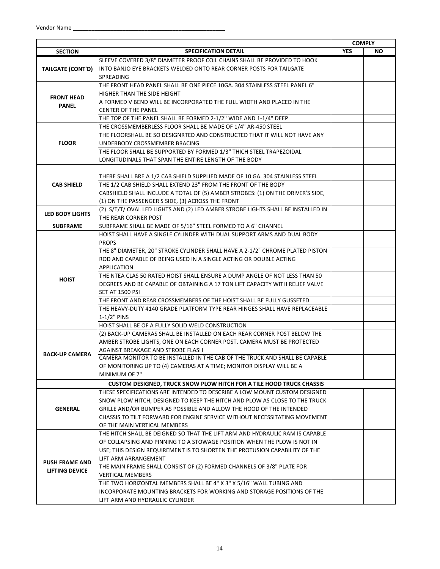|                        |                                                                                  |            | <b>COMPLY</b> |
|------------------------|----------------------------------------------------------------------------------|------------|---------------|
| <b>SECTION</b>         | <b>SPECIFICATION DETAIL</b>                                                      | <b>YES</b> | NO.           |
|                        | SLEEVE COVERED 3/8" DIAMETER PROOF COIL CHAINS SHALL BE PROVIDED TO HOOK         |            |               |
| TAILGATE (CONT'D)      | INTO BANJO EYE BRACKETS WELDED ONTO REAR CORNER POSTS FOR TAILGATE               |            |               |
|                        | SPREADING                                                                        |            |               |
|                        | THE FRONT HEAD PANEL SHALL BE ONE PIECE 10GA. 304 STAINLESS STEEL PANEL 6"       |            |               |
|                        | HIGHER THAN THE SIDE HEIGHT                                                      |            |               |
| <b>FRONT HEAD</b>      | A FORMED V BEND WILL BE INCORPORATED THE FULL WIDTH AND PLACED IN THE            |            |               |
| <b>PANEL</b>           | <b>CENTER OF THE PANEL</b>                                                       |            |               |
|                        | THE TOP OF THE PANEL SHALL BE FORMED 2-1/2" WIDE AND 1-1/4" DEEP                 |            |               |
|                        | THE CROSSMEMBERLESS FLOOR SHALL BE MADE OF 1/4" AR-450 STEEL                     |            |               |
|                        | THE FLOORSHALL BE SO DESIGNRTED AND CONSTRUCTED THAT IT WILL NOT HAVE ANY        |            |               |
| <b>FLOOR</b>           | UNDERBODY CROSSMEMBER BRACING                                                    |            |               |
|                        | THE FLOOR SHALL BE SUPPORTED BY FORMED 1/3" THICH STEEL TRAPEZOIDAL              |            |               |
|                        | LONGITUDINALS THAT SPAN THE ENTIRE LENGTH OF THE BODY                            |            |               |
|                        |                                                                                  |            |               |
|                        | THERE SHALL BRE A 1/2 CAB SHIELD SUPPLIED MADE OF 10 GA. 304 STAINLESS STEEL     |            |               |
| <b>CAB SHIELD</b>      | THE 1/2 CAB SHIELD SHALL EXTEND 23" FROM THE FRONT OF THE BODY                   |            |               |
|                        | CABSHIELD SHALL INCLUDE A TOTAL OF (5) AMBER STROBES: (1) ON THE DRIVER'S SIDE,  |            |               |
|                        | (1) ON THE PASSENGER'S SIDE, (3) ACROSS THE FRONT                                |            |               |
|                        | (2) S/T/T/ OVAL LED LIGHTS AND (2) LED AMBER STROBE LIGHTS SHALL BE INSTALLED IN |            |               |
| <b>LED BODY LIGHTS</b> | THE REAR CORNER POST                                                             |            |               |
| <b>SUBFRAME</b>        | SUBFRAME SHALL BE MADE OF 5/16" STEEL FORMED TO A 6" CHANNEL                     |            |               |
|                        | HOIST SHALL HAVE A SINGLE CYLINDER WITH DUAL SUPPORT ARMS AND DUAL BODY          |            |               |
|                        | <b>PROPS</b>                                                                     |            |               |
|                        | THE 8" DIAMETER, 20" STROKE CYLINDER SHALL HAVE A 2-1/2" CHROME PLATED PISTON    |            |               |
|                        | ROD AND CAPABLE OF BEING USED IN A SINGLE ACTING OR DOUBLE ACTING                |            |               |
|                        | APPLICATION                                                                      |            |               |
|                        | THE NTEA CLAS 50 RATED HOIST SHALL ENSURE A DUMP ANGLE OF NOT LESS THAN 50       |            |               |
| <b>HOIST</b>           | DEGREES AND BE CAPABLE OF OBTAINING A 17 TON LIFT CAPACITY WITH RELIEF VALVE     |            |               |
|                        | SET AT 1500 PSI                                                                  |            |               |
|                        | THE FRONT AND REAR CROSSMEMBERS OF THE HOIST SHALL BE FULLY GUSSETED             |            |               |
|                        | THE HEAVY-DUTY 4140 GRADE PLATFORM TYPE REAR HINGES SHALL HAVE REPLACEABLE       |            |               |
|                        | $1-1/2$ " PINS                                                                   |            |               |
|                        | HOIST SHALL BE OF A FULLY SOLID WELD CONSTRUCTION                                |            |               |
|                        | (2) BACK-UP CAMERAS SHALL BE INSTALLED ON EACH REAR CORNER POST BELOW THE        |            |               |
|                        | AMBER STROBE LIGHTS, ONE ON EACH CORNER POST. CAMERA MUST BE PROTECTED           |            |               |
|                        | AGAINST BREAKAGE AND STROBE FLASH                                                |            |               |
| <b>BACK-UP CAMERA</b>  | CAMERA MONITOR TO BE INSTALLED IN THE CAB OF THE TRUCK AND SHALL BE CAPABLE      |            |               |
|                        | OF MONITORING UP TO (4) CAMERAS AT A TIME; MONITOR DISPLAY WILL BE A             |            |               |
|                        | MINIMUM OF 7"                                                                    |            |               |
|                        | <b>CUSTOM DESIGNED, TRUCK SNOW PLOW HITCH FOR A TILE HOOD TRUCK CHASSIS</b>      |            |               |
|                        | THESE SPECIFICATIONS ARE INTENDED TO DESCRIBE A LOW MOUNT CUSTOM DESIGNED        |            |               |
|                        | SNOW PLOW HITCH, DESIGNED TO KEEP THE HITCH AND PLOW AS CLOSE TO THE TRUCK       |            |               |
| <b>GENERAL</b>         | GRILLE AND/OR BUMPER AS POSSIBLE AND ALLOW THE HOOD OF THE INTENDED              |            |               |
|                        | CHASSIS TO TILT FORWARD FOR ENGINE SERVICE WITHOUT NECESSITATING MOVEMENT        |            |               |
|                        | OF THE MAIN VERTICAL MEMBERS                                                     |            |               |
|                        | THE HITCH SHALL BE DEIGNED SO THAT THE LIFT ARM AND HYDRAULIC RAM IS CAPABLE     |            |               |
|                        | OF COLLAPSING AND PINNING TO A STOWAGE POSITION WHEN THE PLOW IS NOT IN          |            |               |
|                        | USE; THIS DESIGN REQUIREMENT IS TO SHORTEN THE PROTUSION CAPABILITY OF THE       |            |               |
|                        | LIFT ARM ARRANGEMENT                                                             |            |               |
| <b>PUSH FRAME AND</b>  | THE MAIN FRAME SHALL CONSIST OF (2) FORMED CHANNELS OF 3/8" PLATE FOR            |            |               |
| LIFTING DEVICE         | <b>VERTICAL MEMBERS</b>                                                          |            |               |
|                        | THE TWO HORIZONTAL MEMBERS SHALL BE 4" X 3" X 5/16" WALL TUBING AND              |            |               |
|                        | INCORPORATE MOUNTING BRACKETS FOR WORKING AND STORAGE POSITIONS OF THE           |            |               |
|                        | LIFT ARM AND HYDRAULIC CYLINDER                                                  |            |               |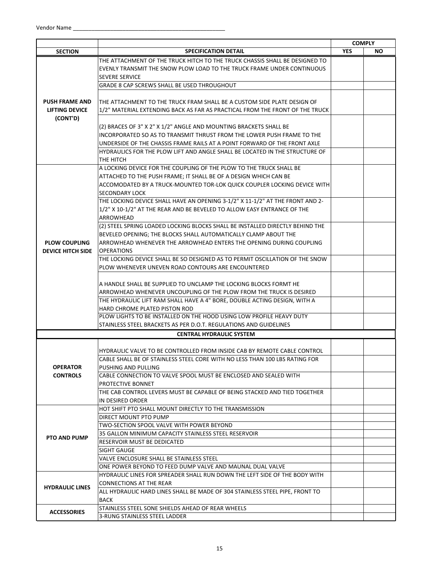|                          |                                                                                     |            | <b>COMPLY</b> |
|--------------------------|-------------------------------------------------------------------------------------|------------|---------------|
| <b>SECTION</b>           | <b>SPECIFICATION DETAIL</b>                                                         | <b>YES</b> | <b>NO</b>     |
|                          | THE ATTACHMENT OF THE TRUCK HITCH TO THE TRUCK CHASSIS SHALL BE DESIGNED TO         |            |               |
|                          | EVENLY TRANSMIT THE SNOW PLOW LOAD TO THE TRUCK FRAME UNDER CONTINUOUS              |            |               |
|                          | <b>SEVERE SERVICE</b>                                                               |            |               |
|                          | <b>GRADE 8 CAP SCREWS SHALL BE USED THROUGHOUT</b>                                  |            |               |
|                          |                                                                                     |            |               |
| <b>PUSH FRAME AND</b>    | THE ATTACHMENT TO THE TRUCK FRAM SHALL BE A CUSTOM SIDE PLATE DESIGN OF             |            |               |
| <b>LIFTING DEVICE</b>    | 1/2" MATERIAL EXTENDING BACK AS FAR AS PRACTICAL FROM THE FRONT OF THE TRUCK        |            |               |
| (CONT'D)                 |                                                                                     |            |               |
|                          | (2) BRACES OF 3" X 2" X 1/2" ANGLE AND MOUNTING BRACKETS SHALL BE                   |            |               |
|                          | INCORPORATED SO AS TO TRANSMIT THRUST FROM THE LOWER PUSH FRAME TO THE              |            |               |
|                          | UNDERSIDE OF THE CHASSIS FRAME RAILS AT A POINT FORWARD OF THE FRONT AXLE           |            |               |
|                          | HYDRAULICS FOR THE PLOW LIFT AND ANGLE SHALL BE LOCATED IN THE STRUCTURE OF         |            |               |
|                          | THE HITCH                                                                           |            |               |
|                          | A LOCKING DEVICE FOR THE COUPLING OF THE PLOW TO THE TRUCK SHALL BE                 |            |               |
|                          | ATTACHED TO THE PUSH FRAME; IT SHALL BE OF A DESIGN WHICH CAN BE                    |            |               |
|                          | ACCOMODATED BY A TRUCK-MOUNTED TOR-LOK QUICK COUPLER LOCKING DEVICE WITH            |            |               |
|                          | <b>SECONDARY LOCK</b>                                                               |            |               |
|                          | THE LOCKING DEVICE SHALL HAVE AN OPENING 3-1/2" X 11-1/2" AT THE FRONT AND 2-       |            |               |
|                          | 1/2" X 10-1/2" AT THE REAR AND BE BEVELED TO ALLOW EASY ENTRANCE OF THE             |            |               |
|                          | ARROWHEAD                                                                           |            |               |
|                          | (2) STEEL SPRING LOADED LOCKING BLOCKS SHALL BE INSTALLED DIRECTLY BEHIND THE       |            |               |
|                          | BEVELED OPENING; THE BLOCKS SHALL AUTOMATICALLY CLAMP ABOUT THE                     |            |               |
| <b>PLOW COUPLING</b>     | ARROWHEAD WHENEVER THE ARROWHEAD ENTERS THE OPENING DURING COUPLING                 |            |               |
| <b>DEVICE HITCH SIDE</b> | <b>OPERATIONS</b>                                                                   |            |               |
|                          | THE LOCKING DEVICE SHALL BE SO DESIGNED AS TO PERMIT OSCILLATION OF THE SNOW        |            |               |
|                          | PLOW WHENEVER UNEVEN ROAD CONTOURS ARE ENCOUNTERED                                  |            |               |
|                          |                                                                                     |            |               |
|                          | A HANDLE SHALL BE SUPPLIED TO UNCLAMP THE LOCKING BLOCKS FORMT HE                   |            |               |
|                          | ARROWHEAD WHENEVER UNCOUPLING OF THE PLOW FROM THE TRUCK IS DESIRED                 |            |               |
|                          | THE HYDRAULIC LIFT RAM SHALL HAVE A 4" BORE, DOUBLE ACTING DESIGN, WITH A           |            |               |
|                          | HARD CHROME PLATED PISTON ROD                                                       |            |               |
|                          | PLOW LIGHTS TO BE INSTALLED ON THE HOOD USING LOW PROFILE HEAVY DUTY                |            |               |
|                          | STAINLESS STEEL BRACKETS AS PER D.O.T. REGULATIONS AND GUIDELINES                   |            |               |
|                          | <b>CENTRAL HYDRAULIC SYSTEM</b>                                                     |            |               |
|                          |                                                                                     |            |               |
|                          | HYDRAULIC VALVE TO BE CONTROLLED FROM INSIDE CAB BY REMOTE CABLE CONTROL            |            |               |
|                          | CABLE SHALL BE OF STAINLESS STEEL CORE WITH NO LESS THAN 100 LBS RATING FOR         |            |               |
| <b>OPERATOR</b>          | PUSHING AND PULLING                                                                 |            |               |
| <b>CONTROLS</b>          | CABLE CONNECTION TO VALVE SPOOL MUST BE ENCLOSED AND SEALED WITH                    |            |               |
|                          | PROTECTIVE BONNET                                                                   |            |               |
|                          | THE CAB CONTROL LEVERS MUST BE CAPABLE OF BEING STACKED AND TIED TOGETHER           |            |               |
|                          | IN DESIRED ORDER                                                                    |            |               |
|                          | HOT SHIFT PTO SHALL MOUNT DIRECTLY TO THE TRANSMISSION                              |            |               |
|                          | DIRECT MOUNT PTO PUMP                                                               |            |               |
|                          | TWO-SECTION SPOOL VALVE WITH POWER BEYOND                                           |            |               |
|                          |                                                                                     |            |               |
| <b>PTO AND PUMP</b>      | 35 GALLON MINIMUM CAPACITY STAINLESS STEEL RESERVOIR<br>RESERVOIR MUST BE DEDICATED |            |               |
|                          |                                                                                     |            |               |
|                          | SIGHT GAUGE                                                                         |            |               |
|                          | VALVE ENCLOSURE SHALL BE STAINLESS STEEL                                            |            |               |
|                          | ONE POWER BEYOND TO FEED DUMP VALVE AND MAUNAL DUAL VALVE                           |            |               |
|                          | HYDRAULIC LINES FOR SPREADER SHALL RUN DOWN THE LEFT SIDE OF THE BODY WITH          |            |               |
| <b>HYDRAULIC LINES</b>   | <b>CONNECTIONS AT THE REAR</b>                                                      |            |               |
|                          | ALL HYDRAULIC HARD LINES SHALL BE MADE OF 304 STAINLESS STEEL PIPE, FRONT TO        |            |               |
|                          | <b>BACK</b>                                                                         |            |               |
| <b>ACCESSORIES</b>       | STAINLESS STEEL SONE SHIELDS AHEAD OF REAR WHEELS                                   |            |               |
|                          | 3-RUNG STAINLESS STEEL LADDER                                                       |            |               |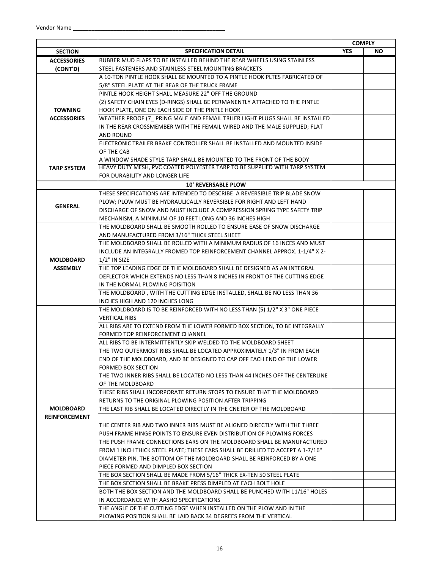|                      |                                                                                |            | <b>COMPLY</b> |
|----------------------|--------------------------------------------------------------------------------|------------|---------------|
| <b>SECTION</b>       | <b>SPECIFICATION DETAIL</b>                                                    | <b>YES</b> | <b>NO</b>     |
| <b>ACCESSORIES</b>   | RUBBER MUD FLAPS TO BE INSTALLED BEHIND THE REAR WHEELS USING STAINLESS        |            |               |
| (CONT'D)             | STEEL FASTENERS AND STAINLESS STEEL MOUNTING BRACKETS                          |            |               |
|                      | A 10-TON PINTLE HOOK SHALL BE MOUNTED TO A PINTLE HOOK PLTES FABRICATED OF     |            |               |
|                      | 5/8" STEEL PLATE AT THE REAR OF THE TRUCK FRAME                                |            |               |
|                      | PINTLE HOOK HEIGHT SHALL MEASURE 22" OFF THE GROUND                            |            |               |
|                      | (2) SAFETY CHAIN EYES (D-RINGS) SHALL BE PERMANENTLY ATTACHED TO THE PINTLE    |            |               |
| <b>TOWNING</b>       | HOOK PLATE, ONE ON EACH SIDE OF THE PINTLE HOOK                                |            |               |
| <b>ACCESSORIES</b>   | WEATHER PROOF (7_ PRING MALE AND FEMAIL TRILER LIGHT PLUGS SHALL BE INSTALLED  |            |               |
|                      | IN THE REAR CROSSMEMBER WITH THE FEMAIL WIRED AND THE MALE SUPPLIED; FLAT      |            |               |
|                      | <b>AND ROUND</b>                                                               |            |               |
|                      | ELECTRONIC TRAILER BRAKE CONTROLLER SHALL BE INSTALLED AND MOUNTED INSIDE      |            |               |
|                      | OF THE CAB                                                                     |            |               |
|                      | A WINDOW SHADE STYLE TARP SHALL BE MOUNTED TO THE FRONT OF THE BODY            |            |               |
| <b>TARP SYSTEM</b>   | HEAVY DUTY MESH, PVC COATED POLYESTER TARP TO BE SUPPLIED WITH TARP SYSTEM     |            |               |
|                      | FOR DURABILITY AND LONGER LIFE                                                 |            |               |
|                      | <b>10' REVERSABLE PLOW</b>                                                     |            |               |
|                      | THESE SPECIFICATIONS ARE INTENDED TO DESCRIBE A REVERSIBLE TRIP BLADE SNOW     |            |               |
| <b>GENERAL</b>       | PLOW: PLOW MUST BE HYDRAULICALLY REVERSIBLE FOR RIGHT AND LEFT HAND            |            |               |
|                      | DISCHARGE OF SNOW AND MUST INCLUDE A COMPRESSION SPRING TYPE SAFETY TRIP       |            |               |
|                      | MECHANISM. A MINIMUM OF 10 FEET LONG AND 36 INCHES HIGH                        |            |               |
|                      | THE MOLDBOARD SHALL BE SMOOTH ROLLED TO ENSURE EASE OF SNOW DISCHARGE          |            |               |
|                      | AND MANUFACTURED FROM 3/16" THICK STEEL SHEET                                  |            |               |
|                      | THE MOLDBOARD SHALL BE ROLLED WITH A MINIMUM RADIUS OF 16 INCES AND MUST       |            |               |
|                      | INCLUDE AN INTEGRALLY FROMED TOP REINFORCEMENT CHANNEL APPROX. 1-1/4" X 2-     |            |               |
| <b>MOLDBOARD</b>     | $1/2$ " IN SIZE                                                                |            |               |
| <b>ASSEMBLY</b>      | THE TOP LEADING EDGE OF THE MOLDBOARD SHALL BE DESIGNED AS AN INTEGRAL         |            |               |
|                      | DEFLECTOR WHICH EXTENDS NO LESS THAN 8 INCHES IN FRONT OF THE CUTTING EDGE     |            |               |
|                      | IN THE NORMAL PLOWING POISITION                                                |            |               |
|                      | THE MOLDBOARD, WITH THE CUTTING EDGE INSTALLED, SHALL BE NO LESS THAN 36       |            |               |
|                      | INCHES HIGH AND 120 INCHES LONG                                                |            |               |
|                      | THE MOLDBOARD IS TO BE REINFORCED WITH NO LESS THAN (5) 1/2" X 3" ONE PIECE    |            |               |
|                      | <b>VERTICAL RIBS</b>                                                           |            |               |
|                      | ALL RIBS ARE TO EXTEND FROM THE LOWER FORMED BOX SECTION, TO BE INTEGRALLY     |            |               |
|                      | FORMED TOP REINFORCEMENT CHANNEL                                               |            |               |
|                      | ALL RIBS TO BE INTERMITTENTLY SKIP WELDED TO THE MOLDBOARD SHEET               |            |               |
|                      | THE TWO OUTERMOST RIBS SHALL BE LOCATED APPROXIMATELY 1/3" IN FROM EACH        |            |               |
|                      | END OF THE MOLDBOARD, AND BE DESIGNED TO CAP OFF EACH END OF THE LOWER         |            |               |
|                      | FORMED BOX SECTION                                                             |            |               |
|                      | THE TWO INNER RIBS SHALL BE LOCATED NO LESS THAN 44 INCHES OFF THE CENTERLINE  |            |               |
|                      | OF THE MOLDBOARD                                                               |            |               |
|                      | THESE RIBS SHALL INCORPORATE RETURN STOPS TO ENSURE THAT THE MOLDBOARD         |            |               |
|                      | RETURNS TO THE ORIGINAL PLOWING POSITION AFTER TRIPPING                        |            |               |
| <b>MOLDBOARD</b>     | THE LAST RIB SHALL BE LOCATED DIRECTLY IN THE CNETER OF THE MOLDBOARD          |            |               |
| <b>REINFORCEMENT</b> |                                                                                |            |               |
|                      | THE CENTER RIB AND TWO INNER RIBS MUST BE ALIGNED DIRECTLY WITH THE THREE      |            |               |
|                      | PUSH FRAME HINGE POINTS TO ENSURE EVEN DISTRIBUTION OF PLOWING FORCES          |            |               |
|                      | THE PUSH FRAME CONNECTIONS EARS ON THE MOLDBOARD SHALL BE MANUFACTURED         |            |               |
|                      | FROM 1 INCH THICK STEEL PLATE; THESE EARS SHALL BE DRILLED TO ACCEPT A 1-7/16" |            |               |
|                      | DIAMETER PIN. THE BOTTOM OF THE MOLDBOARD SHALL BE REINFORCED BY A ONE         |            |               |
|                      | PIECE FORMED AND DIMPLED BOX SECTION                                           |            |               |
|                      | THE BOX SECTION SHALL BE MADE FROM 5/16" THICK EX-TEN 50 STEEL PLATE           |            |               |
|                      | THE BOX SECTION SHALL BE BRAKE PRESS DIMPLED AT EACH BOLT HOLE                 |            |               |
|                      | BOTH THE BOX SECTION AND THE MOLDBOARD SHALL BE PUNCHED WITH 11/16" HOLES      |            |               |
|                      | IN ACCORDANCE WITH AASHO SPECIFICATIONS                                        |            |               |
|                      | THE ANGLE OF THE CUTTING EDGE WHEN INSTALLED ON THE PLOW AND IN THE            |            |               |
|                      | PLOWING POSITION SHALL BE LAID BACK 34 DEGREES FROM THE VERTICAL               |            |               |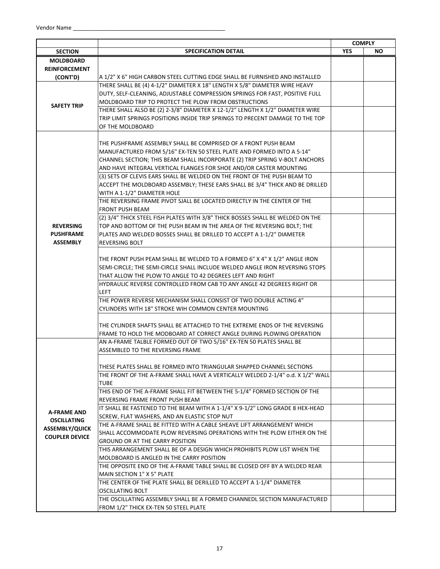|                                    | <b>SPECIFICATION DETAIL</b>                                                                             | <b>COMPLY</b><br><b>YES</b> | NO. |
|------------------------------------|---------------------------------------------------------------------------------------------------------|-----------------------------|-----|
| <b>SECTION</b><br><b>MOLDBOARD</b> |                                                                                                         |                             |     |
| <b>REINFORCEMENT</b>               |                                                                                                         |                             |     |
| (CONT'D)                           | A 1/2" X 6" HIGH CARBON STEEL CUTTING EDGE SHALL BE FURNISHED AND INSTALLED                             |                             |     |
|                                    | THERE SHALL BE (4) 4-1/2" DIAMETER X 18" LENGTH X 5/8" DIAMETER WIRE HEAVY                              |                             |     |
|                                    |                                                                                                         |                             |     |
|                                    | DUTY, SELF-CLEANING, ADJUSTABLE COMPRESSION SPRINGS FOR FAST, POSITIVE FULL                             |                             |     |
| <b>SAFETY TRIP</b>                 | MOLDBOARD TRIP TO PROTECT THE PLOW FROM OBSTRUCTIONS                                                    |                             |     |
|                                    | THERE SHALL ALSO BE (2) 2-3/8" DIAMETER X 12-1/2" LENGTH X 1/2" DIAMETER WIRE                           |                             |     |
|                                    | TRIP LIMIT SPRINGS POSITIONS INSIDE TRIP SPRINGS TO PRECENT DAMAGE TO THE TOP                           |                             |     |
|                                    | OF THE MOLDBOARD                                                                                        |                             |     |
|                                    | THE PUSHFRAME ASSEMBLY SHALL BE COMPRISED OF A FRONT PUSH BEAM                                          |                             |     |
|                                    | MANUFACTURED FROM 5/16" EX-TEN 50 STEEL PLATE AND FORMED INTO A 5-14"                                   |                             |     |
|                                    | CHANNEL SECTION; THIS BEAM SHALL INCORPORATE (2) TRIP SPRING V-BOLT ANCHORS                             |                             |     |
|                                    |                                                                                                         |                             |     |
|                                    | AND HAVE INTEGRAL VERTICAL FLANGES FOR SHOE AND/OR CASTER MOUNTING                                      |                             |     |
|                                    | (3) SETS OF CLEVIS EARS SHALL BE WELDED ON THE FRONT OF THE PUSH BEAM TO                                |                             |     |
|                                    | ACCEPT THE MOLDBOARD ASSEMBLY; THESE EARS SHALL BE 3/4" THICK AND BE DRILLED                            |                             |     |
|                                    | WITH A 1-1/2" DIAMETER HOLE<br>THE REVERSING FRAME PIVOT SJALL BE LOCATED DIRECTLY IN THE CENTER OF THE |                             |     |
|                                    | <b>FRONT PUSH BEAM</b>                                                                                  |                             |     |
|                                    | (2) 3/4" THICK STEEL FISH PLATES WITH 3/8" THICK BOSSES SHALL BE WELDED ON THE                          |                             |     |
| <b>REVERSING</b>                   | TOP AND BOTTOM OF THE PUSH BEAM IN THE AREA OF THE REVERSING BOLT; THE                                  |                             |     |
| <b>PUSHFRAME</b>                   | PLATES AND WELDED BOSSES SHALL BE DRILLED TO ACCEPT A 1-1/2" DIAMETER                                   |                             |     |
| <b>ASSEMBLY</b>                    | <b>REVERSING BOLT</b>                                                                                   |                             |     |
|                                    |                                                                                                         |                             |     |
|                                    | THE FRONT PUSH PEAM SHALL BE WELDED TO A FORMED 6" X 4" X 1/2" ANGLE IRON                               |                             |     |
|                                    | SEMI-CIRCLE; THE SEMI-CIRCLE SHALL INCLUDE WELDED ANGLE IRON REVERSING STOPS                            |                             |     |
|                                    | THAT ALLOW THE PLOW TO ANGLE TO 42 DEGREES LEFT AND RIGHT                                               |                             |     |
|                                    | HYDRAULIC REVERSE CONTROLLED FROM CAB TO ANY ANGLE 42 DEGREES RIGHT OR                                  |                             |     |
|                                    | <b>LEFT</b>                                                                                             |                             |     |
|                                    | THE POWER REVERSE MECHANISM SHALL CONSIST OF TWO DOUBLE ACTING 4"                                       |                             |     |
|                                    | CYLINDERS WITH 18" STROKE WIH COMMON CENTER MOUNTING                                                    |                             |     |
|                                    |                                                                                                         |                             |     |
|                                    | THE CYLINDER SHAFTS SHALL BE ATTACHED TO THE EXTREME ENDS OF THE REVERSING                              |                             |     |
|                                    | FRAME TO HOLD THE MODBOARD AT CORRECT ANGLE DURING PLOWING OPERATION                                    |                             |     |
|                                    | AN A-FRAME TALBLE FORMED OUT OF TWO 5/16" EX-TEN 50 PLATES SHALL BE                                     |                             |     |
|                                    | ASSEMBLED TO THE REVERSING FRAME                                                                        |                             |     |
|                                    |                                                                                                         |                             |     |
|                                    | THESE PLATES SHALL BE FORMED INTO TRIANGULAR SHAPPED CHANNEL SECTIONS                                   |                             |     |
|                                    | THE FRONT OF THE A-FRAME SHALL HAVE A VERTICALLY WELDED 2-1/4" o.d. X 1/2" WALL                         |                             |     |
|                                    | <b>TUBE</b>                                                                                             |                             |     |
|                                    | THIS END OF THE A-FRAME SHALL FIT BETWEEN THE 5-1/4" FORMED SECTION OF THE                              |                             |     |
|                                    | REVERSING FRAME FRONT PUSH BEAM                                                                         |                             |     |
| A-FRAME AND                        | IT SHALL BE FASTENED TO THE BEAM WITH A 1-1/4" X 9-1/2" LONG GRADE 8 HEX-HEAD                           |                             |     |
| <b>OSCILLATING</b>                 | SCREW, FLAT WASHERS, AND AN ELASTIC STOP NUT                                                            |                             |     |
| <b>ASSEMBLY/QUICK</b>              | THE A-FRAME SHALL BE FITTED WITH A CABLE SHEAVE LIFT ARRANGEMENT WHICH                                  |                             |     |
| <b>COUPLER DEVICE</b>              | SHALL ACCOMMODATE PLOW REVERSING OPERATIONS WITH THE PLOW EITHER ON THE                                 |                             |     |
|                                    | <b>GROUND OR AT THE CARRY POSITION</b>                                                                  |                             |     |
|                                    | THIS ARRANGEMENT SHALL BE OF A DESIGN WHICH PROHIBITS PLOW LIST WHEN THE                                |                             |     |
|                                    | MOLDBOARD IS ANGLED IN THE CARRY POSITION                                                               |                             |     |
|                                    | THE OPPOSITE END OF THE A-FRAME TABLE SHALL BE CLOSED OFF BY A WELDED REAR                              |                             |     |
|                                    | MAIN SECTION 1" X 5" PLATE                                                                              |                             |     |
|                                    | THE CENTER OF THE PLATE SHALL BE DERILLED TO ACCEPT A 1-1/4" DIAMETER                                   |                             |     |
|                                    | <b>OSCILLATING BOLT</b>                                                                                 |                             |     |
|                                    | THE OSCILLATING ASSEMBLY SHALL BE A FORMED CHANNEDL SECTION MANUFACTURED                                |                             |     |
|                                    | FROM 1/2" THICK EX-TEN 50 STEEL PLATE                                                                   |                             |     |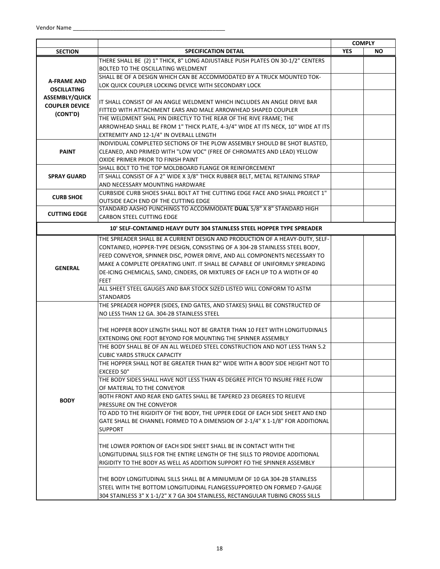|                       |                                                                                                                                            |            | <b>COMPLY</b> |
|-----------------------|--------------------------------------------------------------------------------------------------------------------------------------------|------------|---------------|
| <b>SECTION</b>        | <b>SPECIFICATION DETAIL</b>                                                                                                                | <b>YES</b> | <b>NO</b>     |
|                       | THERE SHALL BE (2) 1" THICK, 8" LONG ADJUSTABLE PUSH PLATES ON 30-1/2" CENTERS                                                             |            |               |
|                       | BOLTED TO THE OSCILLATING WELDMENT                                                                                                         |            |               |
| <b>A-FRAME AND</b>    | SHALL BE OF A DESIGN WHICH CAN BE ACCOMMODATED BY A TRUCK MOUNTED TOK-                                                                     |            |               |
| <b>OSCILLATING</b>    | LOK QUICK COUPLER LOCKING DEVICE WITH SECONDARY LOCK                                                                                       |            |               |
| <b>ASSEMBLY/QUICK</b> |                                                                                                                                            |            |               |
| <b>COUPLER DEVICE</b> | IT SHALL CONSIST OF AN ANGLE WELDMENT WHICH INCLUDES AN ANGLE DRIVE BAR                                                                    |            |               |
| (CONT'D)              | FITTED WITH ATTACHMENT EARS AND MALE ARROWHEAD SHAPED COUPLER                                                                              |            |               |
|                       | THE WELDMENT SHAL PIN DIRECTLY TO THE REAR OF THE RIVE FRAME; THE                                                                          |            |               |
|                       | ARROWHEAD SHALL BE FROM 1" THICK PLATE, 4-3/4" WIDE AT ITS NECK, 10" WIDE AT ITS                                                           |            |               |
|                       | EXTREMITY AND 12-1/4" IN OVERALL LENGTH                                                                                                    |            |               |
|                       | INDIVIDUAL COMPLETED SECTIONS OF THE PLOW ASSEMBLY SHOULD BE SHOT BLASTED,                                                                 |            |               |
| <b>PAINT</b>          | CLEANED, AND PRIMED WITH "LOW VOC" (FREE OF CHROMATES AND LEAD) YELLOW                                                                     |            |               |
|                       | OXIDE PRIMER PRIOR TO FINISH PAINT                                                                                                         |            |               |
|                       | SHALL BOLT TO THE TOP MOLDBOARD FLANGE OR REINFORCEMENT                                                                                    |            |               |
| <b>SPRAY GUARD</b>    | IT SHALL CONSIST OF A 2" WIDE X 3/8" THICK RUBBER BELT, METAL RETAINING STRAP                                                              |            |               |
|                       | AND NECESSARY MOUNTING HARDWARE                                                                                                            |            |               |
| <b>CURB SHOE</b>      | CURBSIDE CURB SHOES SHALL BOLT AT THE CUTTING EDGE FACE AND SHALL PROJECT 1"                                                               |            |               |
|                       | <b>OUTSIDE EACH END OF THE CUTTING EDGE</b>                                                                                                |            |               |
| <b>CUTTING EDGE</b>   | STANDARD AASHO PUNCHINGS TO ACCOMMODATE DUAL 5/8" X 8" STANDARD HIGH<br><b>CARBON STEEL CUTTING EDGE</b>                                   |            |               |
|                       |                                                                                                                                            |            |               |
|                       | 10' SELF-CONTAINED HEAVY DUTY 304 STAINLESS STEEL HOPPER TYPE SPREADER                                                                     |            |               |
|                       | THE SPREADER SHALL BE A CURRENT DESIGN AND PRODUCTION OF A HEAVY-DUTY, SELF-                                                               |            |               |
|                       | CONTAINED, HOPPER-TYPE DESIGN, CONSISTING OF A 304-2B STAINLESS STEEL BODY,                                                                |            |               |
|                       | FEED CONVEYOR, SPINNER DISC, POWER DRIVE, AND ALL COMPONENTS NECESSARY TO                                                                  |            |               |
| <b>GENERAL</b>        | MAKE A COMPLETE OPERATING UNIT. IT SHALL BE CAPABLE OF UNIFORMLY SPREADING                                                                 |            |               |
|                       | DE-ICING CHEMICALS, SAND, CINDERS, OR MIXTURES OF EACH UP TO A WIDTH OF 40                                                                 |            |               |
|                       | <b>FEET</b>                                                                                                                                |            |               |
|                       | ALL SHEET STEEL GAUGES AND BAR STOCK SIZED LISTED WILL CONFORM TO ASTM                                                                     |            |               |
|                       | <b>STANDARDS</b>                                                                                                                           |            |               |
|                       | THE SPREADER HOPPER (SIDES, END GATES, AND STAKES) SHALL BE CONSTRUCTED OF                                                                 |            |               |
|                       | NO LESS THAN 12 GA. 304-2B STAINLESS STEEL                                                                                                 |            |               |
|                       |                                                                                                                                            |            |               |
|                       | THE HOPPER BODY LENGTH SHALL NOT BE GRATER THAN 10 FEET WITH LONGITUDINALS                                                                 |            |               |
|                       | EXTENDING ONE FOOT BEYOND FOR MOUNTING THE SPINNER ASSEMBLY<br>THE BODY SHALL BE OF AN ALL WELDED STEEL CONSTRUCTION AND NOT LESS THAN 5.2 |            |               |
|                       | <b>CUBIC YARDS STRUCK CAPACITY</b>                                                                                                         |            |               |
|                       | THE HOPPER SHALL NOT BE GREATER THAN 82" WIDE WITH A BODY SIDE HEIGHT NOT TO                                                               |            |               |
|                       | EXCEED 50"                                                                                                                                 |            |               |
|                       | THE BODY SIDES SHALL HAVE NOT LESS THAN 45 DEGREE PITCH TO INSURE FREE FLOW                                                                |            |               |
|                       | OF MATERIAL TO THE CONVEYOR                                                                                                                |            |               |
|                       | BOTH FRONT AND REAR END GATES SHALL BE TAPERED 23 DEGREES TO RELIEVE                                                                       |            |               |
| <b>BODY</b>           | PRESSURE ON THE CONVEYOR                                                                                                                   |            |               |
|                       | TO ADD TO THE RIGIDITY OF THE BODY, THE UPPER EDGE OF EACH SIDE SHEET AND END                                                              |            |               |
|                       | GATE SHALL BE CHANNEL FORMED TO A DIMENSION OF 2-1/4" X 1-1/8" FOR ADDITIONAL                                                              |            |               |
|                       | <b>SUPPORT</b>                                                                                                                             |            |               |
|                       |                                                                                                                                            |            |               |
|                       | THE LOWER PORTION OF EACH SIDE SHEET SHALL BE IN CONTACT WITH THE                                                                          |            |               |
|                       | LONGITUDINAL SILLS FOR THE ENTIRE LENGTH OF THE SILLS TO PROVIDE ADDITIONAL                                                                |            |               |
|                       | RIGIDITY TO THE BODY AS WELL AS ADDITION SUPPORT FO THE SPINNER ASSEMBLY                                                                   |            |               |
|                       |                                                                                                                                            |            |               |
|                       | THE BODY LONGITUDINAL SILLS SHALL BE A MINIUMUM OF 10 GA 304-2B STAINLESS                                                                  |            |               |
|                       | STEEL WITH THE BOTTOM LONGITUDINAL FLANGESSUPPORTED ON FORMED 7-GAUGE                                                                      |            |               |
|                       | 304 STAINLESS 3" X 1-1/2" X 7 GA 304 STAINLESS, RECTANGULAR TUBING CROSS SILLS                                                             |            |               |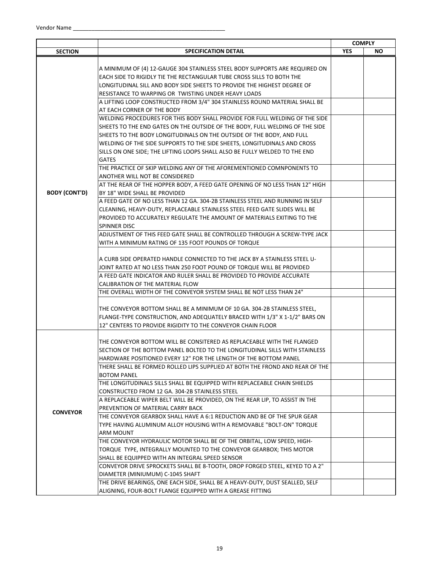|                      |                                                                               | <b>COMPLY</b> |           |
|----------------------|-------------------------------------------------------------------------------|---------------|-----------|
| <b>SECTION</b>       | <b>SPECIFICATION DETAIL</b>                                                   | <b>YES</b>    | <b>NO</b> |
|                      |                                                                               |               |           |
|                      | A MINIMUM OF (4) 12-GAUGE 304 STAINLESS STEEL BODY SUPPORTS ARE REQUIRED ON   |               |           |
|                      | EACH SIDE TO RIGIDLY TIE THE RECTANGULAR TUBE CROSS SILLS TO BOTH THE         |               |           |
|                      | LONGITUDINAL SILL AND BODY SIDE SHEETS TO PROVIDE THE HIGHEST DEGREE OF       |               |           |
|                      | RESISTANCE TO WARPING OR TWISTING UNDER HEAVY LOADS                           |               |           |
|                      | A LIFTING LOOP CONSTRUCTED FROM 3/4" 304 STAINLESS ROUND MATERIAL SHALL BE    |               |           |
|                      | AT EACH CORNER OF THE BODY                                                    |               |           |
|                      | WELDING PROCEDURES FOR THIS BODY SHALL PROVIDE FOR FULL WELDING OF THE SIDE   |               |           |
|                      | SHEETS TO THE END GATES ON THE OUTSIDE OF THE BODY, FULL WELDING OF THE SIDE  |               |           |
|                      | SHEETS TO THE BODY LONGITUDINALS ON THE OUTSIDE OF THE BODY, AND FULL         |               |           |
|                      | WELDING OF THE SIDE SUPPORTS TO THE SIDE SHEETS, LONGITUDINALS AND CROSS      |               |           |
|                      | SILLS ON ONE SIDE; THE LIFTING LOOPS SHALL ALSO BE FULLY WELDED TO THE END    |               |           |
|                      | <b>GATES</b>                                                                  |               |           |
|                      | THE PRACTICE OF SKIP WELDING ANY OF THE AFOREMENTIONED COMNPONENTS TO         |               |           |
|                      | ANOTHER WILL NOT BE CONSIDERED                                                |               |           |
|                      | AT THE REAR OF THE HOPPER BODY, A FEED GATE OPENING OF NO LESS THAN 12" HIGH  |               |           |
| <b>BODY (CONT'D)</b> | BY 18" WIDE SHALL BE PROVIDED                                                 |               |           |
|                      | A FEED GATE OF NO LESS THAN 12 GA. 304-2B STAINLESS STEEL AND RUNNING IN SELF |               |           |
|                      | CLEANING, HEAVY-DUTY, REPLACEABLE STAINLESS STEEL FEED GATE SLIDES WILL BE    |               |           |
|                      | PROVIDED TO ACCURATELY REGULATE THE AMOUNT OF MATERIALS EXITING TO THE        |               |           |
|                      | <b>SPINNER DISC</b>                                                           |               |           |
|                      | ADJUSTMENT OF THIS FEED GATE SHALL BE CONTROLLED THROUGH A SCREW-TYPE JACK    |               |           |
|                      | WITH A MINIMUM RATING OF 135 FOOT POUNDS OF TORQUE                            |               |           |
|                      |                                                                               |               |           |
|                      | A CURB SIDE OPERATED HANDLE CONNECTED TO THE JACK BY A STAINLESS STEEL U-     |               |           |
|                      | JOINT RATED AT NO LESS THAN 250 FOOT POUND OF TORQUE WILL BE PROVIDED         |               |           |
|                      | A FEED GATE INDICATOR AND RULER SHALL BE PROVIDED TO PROVIDE ACCURATE         |               |           |
|                      | CALIBRATION OF THE MATERIAL FLOW                                              |               |           |
|                      | THE OVERALL WIDTH OF THE CONVEYOR SYSTEM SHALL BE NOT LESS THAN 24"           |               |           |
|                      |                                                                               |               |           |
|                      | THE CONVEYOR BOTTOM SHALL BE A MINIMUM OF 10 GA. 304-2B STAINLESS STEEL,      |               |           |
|                      | FLANGE-TYPE CONSTRUCTION, AND ADEQUATELY BRACED WITH 1/3" X 1-1/2" BARS ON    |               |           |
|                      | 12" CENTERS TO PROVIDE RIGIDITY TO THE CONVEYOR CHAIN FLOOR                   |               |           |
|                      |                                                                               |               |           |
|                      | THE CONVEYOR BOTTOM WILL BE CONSITERED AS REPLACEABLE WITH THE FLANGED        |               |           |
|                      | SECTION OF THE BOTTOM PANEL BOLTED TO THE LONGITUDINAL SILLS WITH STAINLESS   |               |           |
|                      | HARDWARE POSITIONED EVERY 12" FOR THE LENGTH OF THE BOTTOM PANEL              |               |           |
|                      | THERE SHALL BE FORMED ROLLED LIPS SUPPLIED AT BOTH THE FROND AND REAR OF THE  |               |           |
|                      | <b>BOTOM PANEL</b>                                                            |               |           |
|                      | THE LONGITUDINALS SILLS SHALL BE EQUIPPED WITH REPLACEABLE CHAIN SHIELDS      |               |           |
|                      | CONSTRUCTED FROM 12 GA. 304-2B STAINLESS STEEL                                |               |           |
|                      | A REPLACEABLE WIPER BELT WILL BE PROVIDED, ON THE REAR LIP, TO ASSIST IN THE  |               |           |
| <b>CONVEYOR</b>      | PREVENTION OF MATERIAL CARRY BACK                                             |               |           |
|                      | THE CONVEYOR GEARBOX SHALL HAVE A 6:1 REDUCTION AND BE OF THE SPUR GEAR       |               |           |
|                      | TYPE HAVING ALUMINUM ALLOY HOUSING WITH A REMOVABLE "BOLT-ON" TORQUE          |               |           |
|                      | ARM MOUNT                                                                     |               |           |
|                      | THE CONVEYOR HYDRAULIC MOTOR SHALL BE OF THE ORBITAL, LOW SPEED, HIGH-        |               |           |
|                      | TORQUE TYPE, INTEGRALLY MOUNTED TO THE CONVEYOR GEARBOX; THIS MOTOR           |               |           |
|                      | SHALL BE EQUIPPED WITH AN INTEGRAL SPEED SENSOR                               |               |           |
|                      | CONVEYOR DRIVE SPROCKETS SHALL BE 8-TOOTH, DROP FORGED STEEL, KEYED TO A 2"   |               |           |
|                      | DIAMETER (MINIUMUM) C-1045 SHAFT                                              |               |           |
|                      | THE DRIVE BEARINGS, ONE EACH SIDE, SHALL BE A HEAVY-DUTY, DUST SEALLED, SELF  |               |           |
|                      | ALIGNING, FOUR-BOLT FLANGE EQUIPPED WITH A GREASE FITTING                     |               |           |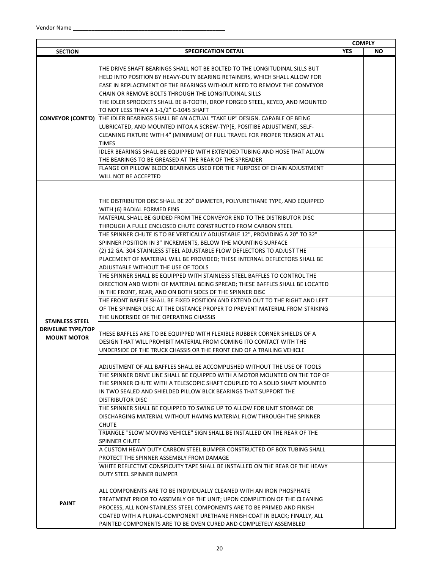|                           |                                                                                                   |            | <b>COMPLY</b> |
|---------------------------|---------------------------------------------------------------------------------------------------|------------|---------------|
| <b>SECTION</b>            | <b>SPECIFICATION DETAIL</b>                                                                       | <b>YES</b> | NO.           |
|                           |                                                                                                   |            |               |
|                           | THE DRIVE SHAFT BEARINGS SHALL NOT BE BOLTED TO THE LONGITUDINAL SILLS BUT                        |            |               |
|                           | HELD INTO POSITION BY HEAVY-DUTY BEARING RETAINERS. WHICH SHALL ALLOW FOR                         |            |               |
|                           | EASE IN REPLACEMENT OF THE BEARINGS WITHOUT NEED TO REMOVE THE CONVEYOR                           |            |               |
|                           | CHAIN OR REMOVE BOLTS THROUGH THE LONGITUDINAL SILLS                                              |            |               |
|                           | THE IDLER SPROCKETS SHALL BE 8-TOOTH, DROP FORGED STEEL, KEYED, AND MOUNTED                       |            |               |
|                           | TO NOT LESS THAN A 1-1/2" C-1045 SHAFT                                                            |            |               |
|                           | <b>CONVEYOR (CONT'D)</b> THE IDLER BEARINGS SHALL BE AN ACTUAL "TAKE UP" DESIGN. CAPABLE OF BEING |            |               |
|                           | LUBRICATED, AND MOUNTED INTOA A SCREW-TYP[E, POSITIBE ADJUSTMENT, SELF-                           |            |               |
|                           | CLEANING FIXTURE WITH 4" (MINIMUM) OF FULL TRAVEL FOR PROPER TENSION AT ALL                       |            |               |
|                           | <b>TIMES</b>                                                                                      |            |               |
|                           | IDLER BEARINGS SHALL BE EQUIPPED WITH EXTENDED TUBING AND HOSE THAT ALLOW                         |            |               |
|                           | THE BEARINGS TO BE GREASED AT THE REAR OF THE SPREADER                                            |            |               |
|                           | FLANGE OR PILLOW BLOCK BEARINGS USED FOR THE PURPOSE OF CHAIN ADJUSTMENT                          |            |               |
|                           | WILL NOT BE ACCEPTED                                                                              |            |               |
|                           |                                                                                                   |            |               |
|                           |                                                                                                   |            |               |
|                           | THE DISTRIBUTOR DISC SHALL BE 20" DIAMETER, POLYURETHANE TYPE, AND EQUIPPED                       |            |               |
|                           | WITH (6) RADIAL FORMED FINS                                                                       |            |               |
|                           | MATERIAL SHALL BE GUIDED FROM THE CONVEYOR END TO THE DISTRIBUTOR DISC                            |            |               |
|                           | THROUGH A FULLE ENCLOSED CHUTE CONSTRUCTED FROM CARBON STEEL                                      |            |               |
|                           | THE SPINNER CHUTE IS TO BE VERTICALLY ADJUSTABLE 12", PROVIDING A 20" TO 32"                      |            |               |
|                           | SPINNER POSITION IN 3" INCREMENTS, BELOW THE MOUNTING SURFACE                                     |            |               |
|                           | (2) 12 GA. 304 STAINLESS STEEL ADJUSTABLE FLOW DEFLECTORS TO ADJUST THE                           |            |               |
|                           | PLACEMENT OF MATERIAL WILL BE PROVIDED; THESE INTERNAL DEFLECTORS SHALL BE                        |            |               |
|                           | ADJUSTABLE WITHOUT THE USE OF TOOLS                                                               |            |               |
|                           | THE SPINNER SHALL BE EQUIPPED WITH STAINLESS STEEL BAFFLES TO CONTROL THE                         |            |               |
|                           | DIRECTION AND WIDTH OF MATERIAL BEING SPREAD; THESE BAFFLES SHALL BE LOCATED                      |            |               |
|                           | IN THE FRONT, REAR, AND ON BOTH SIDES OF THE SPINNER DISC                                         |            |               |
|                           | THE FRONT BAFFLE SHALL BE FIXED POSITION AND EXTEND OUT TO THE RIGHT AND LEFT                     |            |               |
|                           | OF THE SPINNER DISC AT THE DISTANCE PROPER TO PREVENT MATERIAL FROM STRIKING                      |            |               |
| <b>STAINLESS STEEL</b>    | THE UNDERSIDE OF THE OPERATING CHASSIS                                                            |            |               |
| <b>DRIVELINE TYPE/TOP</b> |                                                                                                   |            |               |
| <b>MOUNT MOTOR</b>        | THESE BAFFLES ARE TO BE EQUIPPED WITH FLEXIBLE RUBBER CORNER SHIELDS OF A                         |            |               |
|                           | DESIGN THAT WILL PROHIBIT MATERIAL FROM COMING ITO CONTACT WITH THE                               |            |               |
|                           | UNDERSIDE OF THE TRUCK CHASSIS OR THE FRONT END OF A TRAILING VEHICLE                             |            |               |
|                           |                                                                                                   |            |               |
|                           | ADJUSTMENT OF ALL BAFFLES SHALL BE ACCOMPLISHED WITHOUT THE USE OF TOOLS                          |            |               |
|                           | THE SPINNER DRIVE LINE SHALL BE EQUIPPED WITH A MOTOR MOUNTED ON THE TOP OF                       |            |               |
|                           | THE SPINNER CHUTE WITH A TELESCOPIC SHAFT COUPLED TO A SOLID SHAFT MOUNTED                        |            |               |
|                           | IN TWO SEALED AND SHIELDED PILLOW BLCK BEARINGS THAT SUPPORT THE                                  |            |               |
|                           | <b>DISTRIBUTOR DISC</b>                                                                           |            |               |
|                           | THE SPINNER SHALL BE EQUIPPED TO SWING UP TO ALLOW FOR UNIT STORAGE OR                            |            |               |
|                           | DISCHARGING MATERIAL WITHOUT HAVING MATERIAL FLOW THROUGH THE SPINNER                             |            |               |
|                           | <b>CHUTE</b>                                                                                      |            |               |
|                           | TRIANGLE "SLOW MOVING VEHICLE" SIGN SHALL BE INSTALLED ON THE REAR OF THE                         |            |               |
|                           | <b>SPINNER CHUTE</b>                                                                              |            |               |
|                           | A CUSTOM HEAVY DUTY CARBON STEEL BUMPER CONSTRUCTED OF BOX TUBING SHALL                           |            |               |
|                           | PROTECT THE SPINNER ASSEMBLY FROM DAMAGE                                                          |            |               |
|                           | WHITE REFLECTIVE CONSPICUITY TAPE SHALL BE INSTALLED ON THE REAR OF THE HEAVY                     |            |               |
|                           | DUTY STEEL SPINNER BUMPER                                                                         |            |               |
|                           |                                                                                                   |            |               |
|                           | ALL COMPONENTS ARE TO BE INDIVIDUALLY CLEANED WITH AN IRON PHOSPHATE                              |            |               |
| <b>PAINT</b>              | TREATMENT PRIOR TO ASSEMBLY OF THE UNIT; UPON COMPLETION OF THE CLEANING                          |            |               |
|                           | PROCESS, ALL NON-STAINLESS STEEL COMPONENTS ARE TO BE PRIMED AND FINISH                           |            |               |
|                           | COATED WITH A PLURAL-COMPONENT URETHANE FINISH COAT IN BLACK; FINALLY, ALL                        |            |               |
|                           | PAINTED COMPONENTS ARE TO BE OVEN CURED AND COMPLETELY ASSEMBLED                                  |            |               |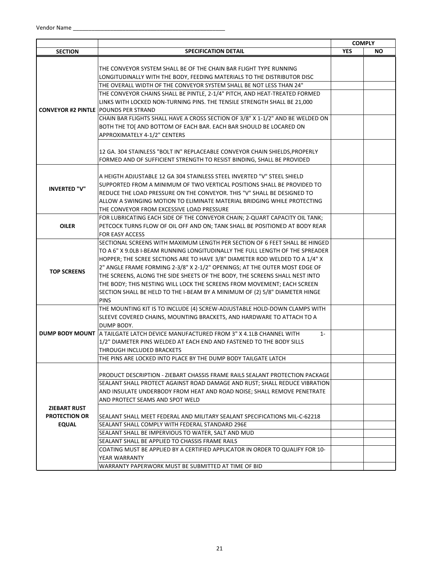|                      |                                                                                                                          |            | <b>COMPLY</b> |
|----------------------|--------------------------------------------------------------------------------------------------------------------------|------------|---------------|
| <b>SECTION</b>       | <b>SPECIFICATION DETAIL</b>                                                                                              | <b>YES</b> | <b>NO</b>     |
|                      |                                                                                                                          |            |               |
|                      | THE CONVEYOR SYSTEM SHALL BE OF THE CHAIN BAR FLIGHT TYPE RUNNING                                                        |            |               |
|                      | LONGITUDINALLY WITH THE BODY, FEEDING MATERIALS TO THE DISTRIBUTOR DISC                                                  |            |               |
|                      | THE OVERALL WIDTH OF THE CONVEYOR SYSTEM SHALL BE NOT LESS THAN 24"                                                      |            |               |
|                      | THE CONVEYOR CHAINS SHALL BE PINTLE, 2-1/4" PITCH, AND HEAT-TREATED FORMED                                               |            |               |
|                      | LINKS WITH LOCKED NON-TURNING PINS. THE TENSILE STRENGTH SHALL BE 21,000                                                 |            |               |
|                      | <b>CONVEYOR #2 PINTLE POUNDS PER STRAND</b>                                                                              |            |               |
|                      | CHAIN BAR FLIGHTS SHALL HAVE A CROSS SECTION OF 3/8" X 1-1/2" AND BE WELDED ON                                           |            |               |
|                      | BOTH THE TO[ AND BOTTOM OF EACH BAR. EACH BAR SHOULD BE LOCARED ON                                                       |            |               |
|                      | APPROXIMATELY 4-1/2" CENTERS                                                                                             |            |               |
|                      |                                                                                                                          |            |               |
|                      | 12 GA. 304 STAINLESS "BOLT IN" REPLACEABLE CONVEYOR CHAIN SHIELDS, PROPERLY                                              |            |               |
|                      | FORMED AND OF SUFFICIENT STRENGTH TO RESIST BINDING, SHALL BE PROVIDED                                                   |            |               |
|                      |                                                                                                                          |            |               |
|                      | A HEIGTH ADJUSTABLE 12 GA 304 STAINLESS STEEL INVERTED "V" STEEL SHIELD                                                  |            |               |
| <b>INVERTED "V"</b>  | SUPPORTED FROM A MINIMUM OF TWO VERTICAL POSITIONS SHALL BE PROVIDED TO                                                  |            |               |
|                      | REDUCE THE LOAD PRESSURE ON THE CONVEYOR. THIS "V" SHALL BE DESIGNED TO                                                  |            |               |
|                      | ALLOW A SWINGING MOTION TO ELIMINATE MATERIAL BRIDGING WHILE PROTECTING                                                  |            |               |
|                      | THE CONVEYOR FROM EXCESSIVE LOAD PRESSURE<br>FOR LUBRICATING EACH SIDE OF THE CONVEYOR CHAIN; 2-QUART CAPACITY OIL TANK; |            |               |
| <b>OILER</b>         | PETCOCK TURNS FLOW OF OIL OFF AND ON; TANK SHALL BE POSITIONED AT BODY REAR                                              |            |               |
|                      | FOR EASY ACCESS                                                                                                          |            |               |
|                      | SECTIONAL SCREENS WITH MAXIMUM LENGTH PER SECTION OF 6 FEET SHALL BE HINGED                                              |            |               |
|                      | TO A 6" X 9.0LB I-BEAM RUNNING LONGITUDINALLY THE FULL LENGTH OF THE SPREADER                                            |            |               |
|                      | HOPPER; THE SCREE SECTIONS ARE TO HAVE 3/8" DIAMETER ROD WELDED TO A 1/4" X                                              |            |               |
|                      | 2" ANGLE FRAME FORMING 2-3/8" X 2-1/2" OPENINGS; AT THE OUTER MOST EDGE OF                                               |            |               |
| <b>TOP SCREENS</b>   | THE SCREENS, ALONG THE SIDE SHEETS OF THE BODY, THE SCREENS SHALL NEST INTO                                              |            |               |
|                      | THE BODY; THIS NESTING WILL LOCK THE SCREENS FROM MOVEMENT; EACH SCREEN                                                  |            |               |
|                      | SECTION SHALL BE HELD TO THE I-BEAM BY A MINIMUM OF (2) 5/8" DIAMETER HINGE                                              |            |               |
|                      | <b>PINS</b>                                                                                                              |            |               |
|                      | THE MOUNTING KIT IS TO INCLUDE (4) SCREW-ADJUSTABLE HOLD-DOWN CLAMPS WITH                                                |            |               |
|                      | SLEEVE COVERED CHAINS, MOUNTING BRACKETS, AND HARDWARE TO ATTACH TO A                                                    |            |               |
|                      | DUMP BODY.                                                                                                               |            |               |
|                      | DUMP BODY MOUNT   A TAILGATE LATCH DEVICE MANUFACTURED FROM 3" X 4.1LB CHANNEL WITH<br>$1 -$                             |            |               |
|                      | 1/2" DIAMETER PINS WELDED AT EACH END AND FASTENED TO THE BODY SILLS                                                     |            |               |
|                      | THROUGH INCLUDED BRACKETS                                                                                                |            |               |
|                      | THE PINS ARE LOCKED INTO PLACE BY THE DUMP BODY TAILGATE LATCH                                                           |            |               |
|                      |                                                                                                                          |            |               |
|                      | PRODUCT DESCRIPTION - ZIEBART CHASSIS FRAME RAILS SEALANT PROTECTION PACKAGE                                             |            |               |
|                      | SEALANT SHALL PROTECT AGAINST ROAD DAMAGE AND RUST; SHALL REDUCE VIBRATION                                               |            |               |
|                      | AND INSULATE UNDERBODY FROM HEAT AND ROAD NOISE; SHALL REMOVE PENETRATE                                                  |            |               |
|                      | AND PROTECT SEAMS AND SPOT WELD                                                                                          |            |               |
| <b>ZIEBART RUST</b>  |                                                                                                                          |            |               |
| <b>PROTECTION OR</b> | SEALANT SHALL MEET FEDERAL AND MILITARY SEALANT SPECIFICATIONS MIL-C-62218                                               |            |               |
| <b>EQUAL</b>         | SEALANT SHALL COMPLY WITH FEDERAL STANDARD 296E                                                                          |            |               |
|                      | SEALANT SHALL BE IMPERVIOUS TO WATER, SALT AND MUD                                                                       |            |               |
|                      | SEALANT SHALL BE APPLIED TO CHASSIS FRAME RAILS                                                                          |            |               |
|                      | COATING MUST BE APPLIED BY A CERTIFIED APPLICATOR IN ORDER TO QUALIFY FOR 10-                                            |            |               |
|                      | YEAR WARRANTY                                                                                                            |            |               |
|                      | WARRANTY PAPERWORK MUST BE SUBMITTED AT TIME OF BID                                                                      |            |               |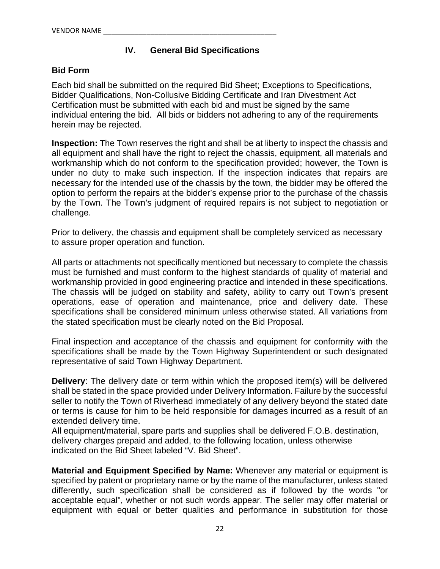# **IV. General Bid Specifications**

#### **Bid Form**

Each bid shall be submitted on the required Bid Sheet; Exceptions to Specifications, Bidder Qualifications, Non-Collusive Bidding Certificate and Iran Divestment Act Certification must be submitted with each bid and must be signed by the same individual entering the bid. All bids or bidders not adhering to any of the requirements herein may be rejected.

**Inspection:** The Town reserves the right and shall be at liberty to inspect the chassis and all equipment and shall have the right to reject the chassis, equipment, all materials and workmanship which do not conform to the specification provided; however, the Town is under no duty to make such inspection. If the inspection indicates that repairs are necessary for the intended use of the chassis by the town, the bidder may be offered the option to perform the repairs at the bidder's expense prior to the purchase of the chassis by the Town. The Town's judgment of required repairs is not subject to negotiation or challenge.

Prior to delivery, the chassis and equipment shall be completely serviced as necessary to assure proper operation and function.

All parts or attachments not specifically mentioned but necessary to complete the chassis must be furnished and must conform to the highest standards of quality of material and workmanship provided in good engineering practice and intended in these specifications. The chassis will be judged on stability and safety, ability to carry out Town's present operations, ease of operation and maintenance, price and delivery date. These specifications shall be considered minimum unless otherwise stated. All variations from the stated specification must be clearly noted on the Bid Proposal.

Final inspection and acceptance of the chassis and equipment for conformity with the specifications shall be made by the Town Highway Superintendent or such designated representative of said Town Highway Department.

**Delivery**: The delivery date or term within which the proposed item(s) will be delivered shall be stated in the space provided under Delivery Information. Failure by the successful seller to notify the Town of Riverhead immediately of any delivery beyond the stated date or terms is cause for him to be held responsible for damages incurred as a result of an extended delivery time.

All equipment/material, spare parts and supplies shall be delivered F.O.B. destination, delivery charges prepaid and added, to the following location, unless otherwise indicated on the Bid Sheet labeled "V. Bid Sheet".

**Material and Equipment Specified by Name:** Whenever any material or equipment is specified by patent or proprietary name or by the name of the manufacturer, unless stated differently, such specification shall be considered as if followed by the words "or acceptable equal", whether or not such words appear. The seller may offer material or equipment with equal or better qualities and performance in substitution for those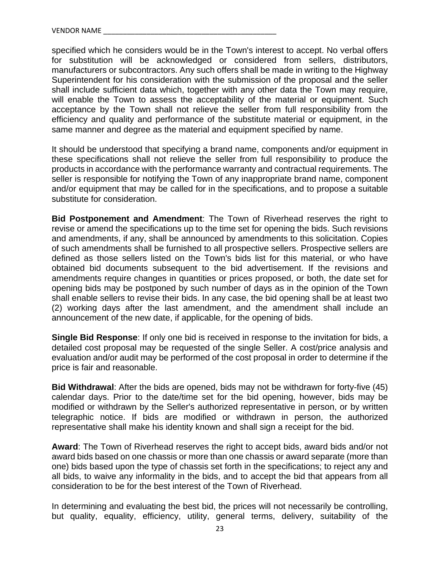specified which he considers would be in the Town's interest to accept. No verbal offers for substitution will be acknowledged or considered from sellers, distributors, manufacturers or subcontractors. Any such offers shall be made in writing to the Highway Superintendent for his consideration with the submission of the proposal and the seller shall include sufficient data which, together with any other data the Town may require, will enable the Town to assess the acceptability of the material or equipment. Such acceptance by the Town shall not relieve the seller from full responsibility from the efficiency and quality and performance of the substitute material or equipment, in the same manner and degree as the material and equipment specified by name.

It should be understood that specifying a brand name, components and/or equipment in these specifications shall not relieve the seller from full responsibility to produce the products in accordance with the performance warranty and contractual requirements. The seller is responsible for notifying the Town of any inappropriate brand name, component and/or equipment that may be called for in the specifications, and to propose a suitable substitute for consideration.

**Bid Postponement and Amendment**: The Town of Riverhead reserves the right to revise or amend the specifications up to the time set for opening the bids. Such revisions and amendments, if any, shall be announced by amendments to this solicitation. Copies of such amendments shall be furnished to all prospective sellers. Prospective sellers are defined as those sellers listed on the Town's bids list for this material, or who have obtained bid documents subsequent to the bid advertisement. If the revisions and amendments require changes in quantities or prices proposed, or both, the date set for opening bids may be postponed by such number of days as in the opinion of the Town shall enable sellers to revise their bids. In any case, the bid opening shall be at least two (2) working days after the last amendment, and the amendment shall include an announcement of the new date, if applicable, for the opening of bids.

**Single Bid Response**: If only one bid is received in response to the invitation for bids, a detailed cost proposal may be requested of the single Seller. A cost/price analysis and evaluation and/or audit may be performed of the cost proposal in order to determine if the price is fair and reasonable.

**Bid Withdrawal**: After the bids are opened, bids may not be withdrawn for forty-five (45) calendar days. Prior to the date/time set for the bid opening, however, bids may be modified or withdrawn by the Seller's authorized representative in person, or by written telegraphic notice. If bids are modified or withdrawn in person, the authorized representative shall make his identity known and shall sign a receipt for the bid.

**Award**: The Town of Riverhead reserves the right to accept bids, award bids and/or not award bids based on one chassis or more than one chassis or award separate (more than one) bids based upon the type of chassis set forth in the specifications; to reject any and all bids, to waive any informality in the bids, and to accept the bid that appears from all consideration to be for the best interest of the Town of Riverhead.

In determining and evaluating the best bid, the prices will not necessarily be controlling, but quality, equality, efficiency, utility, general terms, delivery, suitability of the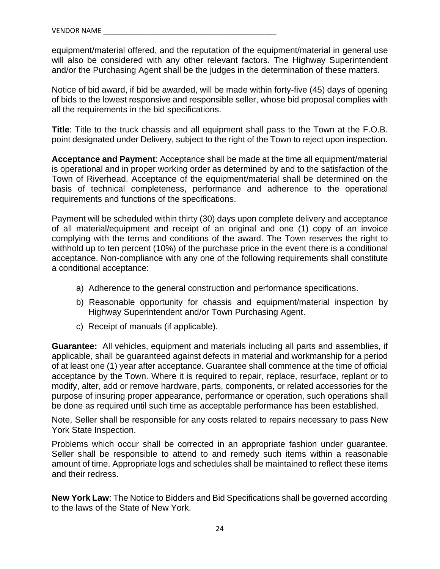equipment/material offered, and the reputation of the equipment/material in general use will also be considered with any other relevant factors. The Highway Superintendent and/or the Purchasing Agent shall be the judges in the determination of these matters.

Notice of bid award, if bid be awarded, will be made within forty-five (45) days of opening of bids to the lowest responsive and responsible seller, whose bid proposal complies with all the requirements in the bid specifications.

**Title**: Title to the truck chassis and all equipment shall pass to the Town at the F.O.B. point designated under Delivery, subject to the right of the Town to reject upon inspection.

**Acceptance and Payment**: Acceptance shall be made at the time all equipment/material is operational and in proper working order as determined by and to the satisfaction of the Town of Riverhead. Acceptance of the equipment/material shall be determined on the basis of technical completeness, performance and adherence to the operational requirements and functions of the specifications.

Payment will be scheduled within thirty (30) days upon complete delivery and acceptance of all material/equipment and receipt of an original and one (1) copy of an invoice complying with the terms and conditions of the award. The Town reserves the right to withhold up to ten percent (10%) of the purchase price in the event there is a conditional acceptance. Non-compliance with any one of the following requirements shall constitute a conditional acceptance:

- a) Adherence to the general construction and performance specifications.
- b) Reasonable opportunity for chassis and equipment/material inspection by Highway Superintendent and/or Town Purchasing Agent.
- c) Receipt of manuals (if applicable).

**Guarantee:** All vehicles, equipment and materials including all parts and assemblies, if applicable, shall be guaranteed against defects in material and workmanship for a period of at least one (1) year after acceptance. Guarantee shall commence at the time of official acceptance by the Town. Where it is required to repair, replace, resurface, replant or to modify, alter, add or remove hardware, parts, components, or related accessories for the purpose of insuring proper appearance, performance or operation, such operations shall be done as required until such time as acceptable performance has been established.

Note, Seller shall be responsible for any costs related to repairs necessary to pass New York State Inspection.

Problems which occur shall be corrected in an appropriate fashion under guarantee. Seller shall be responsible to attend to and remedy such items within a reasonable amount of time. Appropriate logs and schedules shall be maintained to reflect these items and their redress.

**New York Law**: The Notice to Bidders and Bid Specifications shall be governed according to the laws of the State of New York.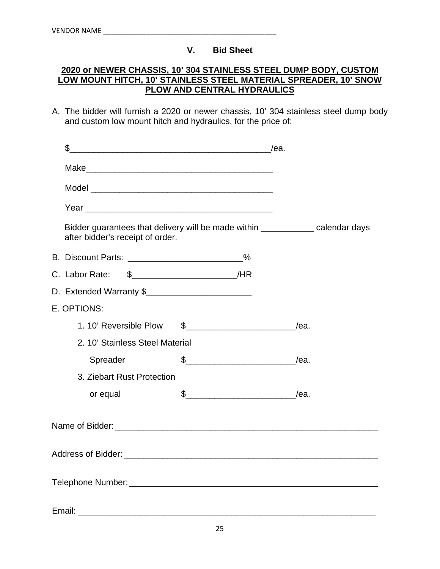# **V. Bid Sheet**

## **2020 or NEWER CHASSIS, 10' 304 STAINLESS STEEL DUMP BODY, CUSTOM LOW MOUNT HITCH, 10' STAINLESS STEEL MATERIAL SPREADER, 10' SNOW PLOW AND CENTRAL HYDRAULICS**

A. The bidder will furnish a 2020 or newer chassis, 10' 304 stainless steel dump body and custom low mount hitch and hydraulics, for the price of:

| \$                                                       |                    |                                                                                |
|----------------------------------------------------------|--------------------|--------------------------------------------------------------------------------|
|                                                          |                    |                                                                                |
|                                                          |                    |                                                                                |
|                                                          |                    |                                                                                |
| after bidder's receipt of order.                         |                    | Bidder guarantees that delivery will be made within ____________ calendar days |
| B. Discount Parts: __________________________%           |                    |                                                                                |
| C. Labor Rate: \$_____________________________/HR        |                    |                                                                                |
| D. Extended Warranty \$                                  |                    |                                                                                |
| E. OPTIONS:                                              |                    |                                                                                |
| 1.10' Reversible Plow \$____________________________/ea. |                    |                                                                                |
| 2. 10' Stainless Steel Material                          |                    |                                                                                |
| Spreader                                                 | $\frac{1}{2}$ /ea. |                                                                                |
| 3. Ziebart Rust Protection                               |                    |                                                                                |
| or equal                                                 | $\frac{1}{2}$ /ea. |                                                                                |
|                                                          |                    |                                                                                |
|                                                          |                    |                                                                                |
|                                                          |                    |                                                                                |
| Email:                                                   |                    |                                                                                |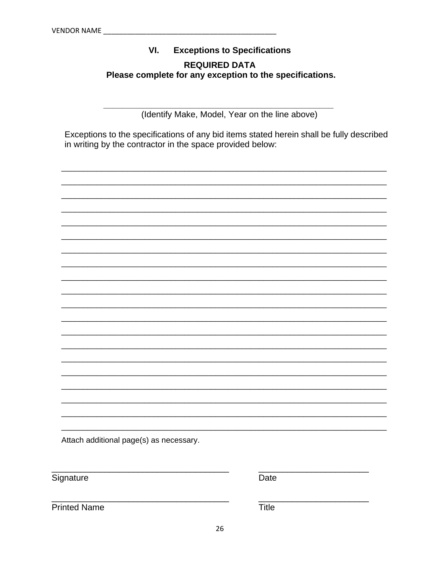#### **Exceptions to Specifications** VI. **REQUIRED DATA** Please complete for any exception to the specifications.

(Identify Make, Model, Year on the line above)

Exceptions to the specifications of any bid items stated herein shall be fully described in writing by the contractor in the space provided below:



Attach additional page(s) as necessary.

Signature

Date

**Printed Name** 

**Title**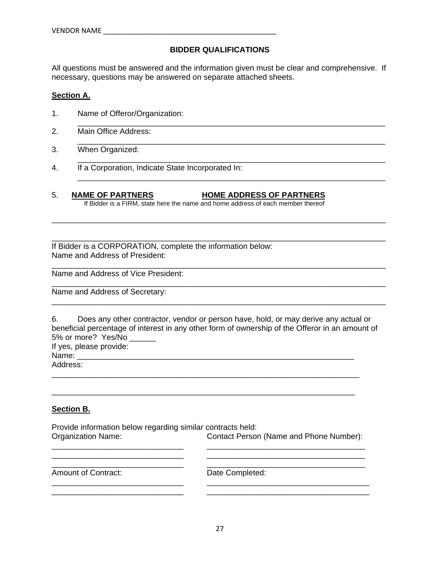#### **BIDDER QUALIFICATIONS**

All questions must be answered and the information given must be clear and comprehensive. If necessary, questions may be answered on separate attached sheets.

\_\_\_\_\_\_\_\_\_\_\_\_\_\_\_\_\_\_\_\_\_\_\_\_\_\_\_\_\_\_\_\_\_\_\_\_\_\_\_\_\_\_\_\_\_\_\_\_\_\_\_\_\_\_\_\_\_\_\_\_\_\_\_\_\_\_\_\_\_\_

\_\_\_\_\_\_\_\_\_\_\_\_\_\_\_\_\_\_\_\_\_\_\_\_\_\_\_\_\_\_\_\_\_\_\_\_\_\_\_\_\_\_\_\_\_\_\_\_\_\_\_\_\_\_\_\_\_\_\_\_\_\_\_\_\_\_\_\_\_\_

\_\_\_\_\_\_\_\_\_\_\_\_\_\_\_\_\_\_\_\_\_\_\_\_\_\_\_\_\_\_\_\_\_\_\_\_\_\_\_\_\_\_\_\_\_\_\_\_\_\_\_\_\_\_\_\_\_\_\_\_\_\_\_\_\_\_\_\_\_\_

\_\_\_\_\_\_\_\_\_\_\_\_\_\_\_\_\_\_\_\_\_\_\_\_\_\_\_\_\_\_\_\_\_\_\_\_\_\_\_\_\_\_\_\_\_\_\_\_\_\_\_\_\_\_\_\_\_\_\_\_\_\_\_\_\_\_\_\_\_\_

\_\_\_\_\_\_\_\_\_\_\_\_\_\_\_\_\_\_\_\_\_\_\_\_\_\_\_\_\_\_\_\_\_\_\_\_\_\_\_\_\_\_\_\_\_\_\_\_\_\_\_\_\_\_\_\_\_\_\_\_\_\_\_\_\_\_\_\_\_\_\_\_\_\_\_\_

\_\_\_\_\_\_\_\_\_\_\_\_\_\_\_\_\_\_\_\_\_\_\_\_\_\_\_\_\_\_\_\_\_\_\_\_\_\_\_\_\_\_\_\_\_\_\_\_\_\_\_\_\_\_\_\_\_\_\_\_\_\_\_\_\_\_\_\_\_\_\_\_\_\_\_\_

\_\_\_\_\_\_\_\_\_\_\_\_\_\_\_\_\_\_\_\_\_\_\_\_\_\_\_\_\_\_\_\_\_\_\_\_\_\_\_\_\_\_\_\_\_\_\_\_\_\_\_\_\_\_\_\_\_\_\_\_\_\_\_\_\_\_\_\_\_\_\_\_\_\_\_\_

\_\_\_\_\_\_\_\_\_\_\_\_\_\_\_\_\_\_\_\_\_\_\_\_\_\_\_\_\_\_\_\_\_\_\_\_\_\_\_\_\_\_\_\_\_\_\_\_\_\_\_\_\_\_\_\_\_\_\_\_\_\_\_\_\_\_\_\_\_\_\_\_\_\_\_\_

\_\_\_\_\_\_\_\_\_\_\_\_\_\_\_\_\_\_\_\_\_\_\_\_\_\_\_\_\_\_\_\_\_\_\_\_\_\_\_\_\_\_\_\_\_\_\_\_\_\_\_\_\_\_\_\_\_\_\_\_\_\_\_\_\_\_\_\_\_\_\_\_\_\_\_\_

#### **Section A.**

- 1. Name of Offeror/Organization:
- 2. Main Office Address:
- 3. When Organized:
- 4. If a Corporation, Indicate State Incorporated In:
- 5. **NAME OF PARTNERS HOME ADDRESS OF PARTNERS** If Bidder is a FIRM, state here the name and home address of each member thereof

If Bidder is a CORPORATION, complete the information below: Name and Address of President:

Name and Address of Vice President:

Name and Address of Secretary:

6. Does any other contractor, vendor or person have, hold, or may derive any actual or beneficial percentage of interest in any other form of ownership of the Offeror in an amount of 5% or more? Yes/No

If yes, please provide: Name: \_\_\_\_\_\_\_\_\_\_\_\_\_\_\_\_\_\_\_\_\_\_\_\_\_\_\_\_\_\_\_\_\_\_\_\_\_\_\_\_\_\_\_\_\_\_\_\_\_\_\_\_\_\_\_\_\_\_\_\_\_\_\_

Address:

\_\_\_\_\_\_\_\_\_\_\_\_\_\_\_\_\_\_\_\_\_\_\_\_\_\_\_\_\_\_\_\_\_\_\_\_\_\_\_\_\_\_\_\_\_\_\_\_\_\_\_\_\_\_\_\_\_\_\_\_\_\_\_\_\_\_\_\_\_\_

#### **Section B.**

Provide information below regarding similar contracts held: Organization Name: Contact Person (Name and Phone Number):

\_\_\_\_\_\_\_\_\_\_\_\_\_\_\_\_\_\_\_\_\_\_\_\_\_\_\_\_\_\_ \_\_\_\_\_\_\_\_\_\_\_\_\_\_\_\_\_\_\_\_\_\_\_\_\_\_\_\_\_\_\_\_\_\_\_\_ \_\_\_\_\_\_\_\_\_\_\_\_\_\_\_\_\_\_\_\_\_\_\_\_\_\_\_\_\_\_ \_\_\_\_\_\_\_\_\_\_\_\_\_\_\_\_\_\_\_\_\_\_\_\_\_\_\_\_\_\_\_\_\_\_\_\_ \_\_\_\_\_\_\_\_\_\_\_\_\_\_\_\_\_\_\_\_\_\_\_\_\_\_\_\_\_\_ \_\_\_\_\_\_\_\_\_\_\_\_\_\_\_\_\_\_\_\_\_\_\_\_\_\_\_\_\_\_\_\_\_\_\_\_

\_\_\_\_\_\_\_\_\_\_\_\_\_\_\_\_\_\_\_\_\_\_\_\_\_\_\_\_\_\_ \_\_\_\_\_\_\_\_\_\_\_\_\_\_\_\_\_\_\_\_\_\_\_\_\_\_\_\_\_\_\_\_\_\_\_\_\_ \_\_\_\_\_\_\_\_\_\_\_\_\_\_\_\_\_\_\_\_\_\_\_\_\_\_\_\_\_\_ \_\_\_\_\_\_\_\_\_\_\_\_\_\_\_\_\_\_\_\_\_\_\_\_\_\_\_\_\_\_\_\_\_\_\_\_\_

\_\_\_\_\_\_\_\_\_\_\_\_\_\_\_\_\_\_\_\_\_\_\_\_\_\_\_\_\_\_\_\_\_\_\_\_\_\_\_\_\_\_\_\_\_\_\_\_\_\_\_\_\_\_\_\_\_\_\_\_\_\_\_\_\_\_\_\_\_

Amount of Contract: Date Completed: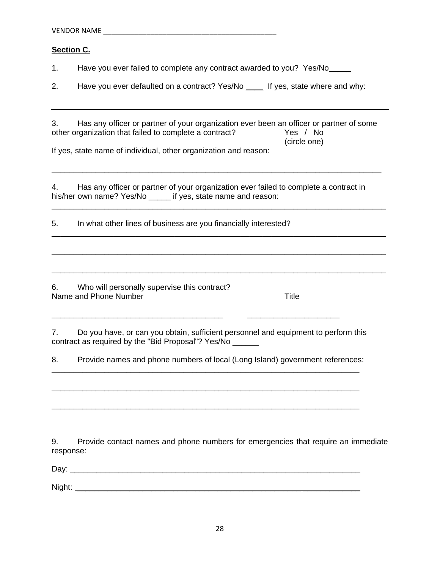| VENDOR NAME |  |  |
|-------------|--|--|
|             |  |  |

#### **Section C.**

1. Have you ever failed to complete any contract awarded to you? Yes/No\_\_\_\_\_

2. Have you ever defaulted on a contract? Yes/No \_\_\_\_ If yes, state where and why:

3. Has any officer or partner of your organization ever been an officer or partner of some other organization that failed to complete a contract? Yes / No (circle one)

\_\_\_\_\_\_\_\_\_\_\_\_\_\_\_\_\_\_\_\_\_\_\_\_\_\_\_\_\_\_\_\_\_\_\_\_\_\_\_\_\_\_\_\_\_\_\_\_\_\_\_\_\_\_\_\_\_\_\_\_\_\_\_\_\_\_\_\_\_\_\_\_\_\_\_

\_\_\_\_\_\_\_\_\_\_\_\_\_\_\_\_\_\_\_\_\_\_\_\_\_\_\_\_\_\_\_\_\_\_\_\_\_\_\_\_\_\_\_\_\_\_\_\_\_\_\_\_\_\_\_\_\_\_\_\_\_\_\_\_\_\_\_\_\_\_\_\_\_\_\_\_

\_\_\_\_\_\_\_\_\_\_\_\_\_\_\_\_\_\_\_\_\_\_\_\_\_\_\_\_\_\_\_\_\_\_\_\_\_\_\_\_\_\_\_\_\_\_\_\_\_\_\_\_\_\_\_\_\_\_\_\_\_\_\_\_\_\_\_\_\_\_\_\_\_\_\_\_

\_\_\_\_\_\_\_\_\_\_\_\_\_\_\_\_\_\_\_\_\_\_\_\_\_\_\_\_\_\_\_\_\_\_\_\_\_\_\_\_\_\_\_\_\_\_\_\_\_\_\_\_\_\_\_\_\_\_\_\_\_\_\_\_\_\_\_\_\_\_\_\_\_\_\_\_

\_\_\_\_\_\_\_\_\_\_\_\_\_\_\_\_\_\_\_\_\_\_\_\_\_\_\_\_\_\_\_\_\_\_\_\_\_\_\_\_\_\_\_\_\_\_\_\_\_\_\_\_\_\_\_\_\_\_\_\_\_\_\_\_\_\_\_\_\_\_\_\_\_\_\_\_

If yes, state name of individual, other organization and reason:

4. Has any officer or partner of your organization ever failed to complete a contract in his/her own name? Yes/No \_\_\_\_\_ if yes, state name and reason:

5. In what other lines of business are you financially interested?

6. Who will personally supervise this contract? Name and Phone Number Title

7. Do you have, or can you obtain, sufficient personnel and equipment to perform this contract as required by the "Bid Proposal"? Yes/No \_\_\_\_\_\_

\_\_\_\_\_\_\_\_\_\_\_\_\_\_\_\_\_\_\_\_\_\_\_\_\_\_\_\_\_\_\_\_\_\_\_\_\_\_\_ \_\_\_\_\_\_\_\_\_\_\_\_\_\_\_\_\_\_\_\_\_

8. Provide names and phone numbers of local (Long Island) government references: \_\_\_\_\_\_\_\_\_\_\_\_\_\_\_\_\_\_\_\_\_\_\_\_\_\_\_\_\_\_\_\_\_\_\_\_\_\_\_\_\_\_\_\_\_\_\_\_\_\_\_\_\_\_\_\_\_\_\_\_\_\_\_\_\_\_\_\_\_\_

\_\_\_\_\_\_\_\_\_\_\_\_\_\_\_\_\_\_\_\_\_\_\_\_\_\_\_\_\_\_\_\_\_\_\_\_\_\_\_\_\_\_\_\_\_\_\_\_\_\_\_\_\_\_\_\_\_\_\_\_\_\_\_\_\_\_\_\_\_\_

\_\_\_\_\_\_\_\_\_\_\_\_\_\_\_\_\_\_\_\_\_\_\_\_\_\_\_\_\_\_\_\_\_\_\_\_\_\_\_\_\_\_\_\_\_\_\_\_\_\_\_\_\_\_\_\_\_\_\_\_\_\_\_\_\_\_\_\_\_\_

9. Provide contact names and phone numbers for emergencies that require an immediate response:

Day: \_\_\_\_\_\_\_\_\_\_\_\_\_\_\_\_\_\_\_\_\_\_\_\_\_\_\_\_\_\_\_\_\_\_\_\_\_\_\_\_\_\_\_\_\_\_\_\_\_\_\_\_\_\_\_\_\_\_\_\_\_\_\_\_\_\_

Night: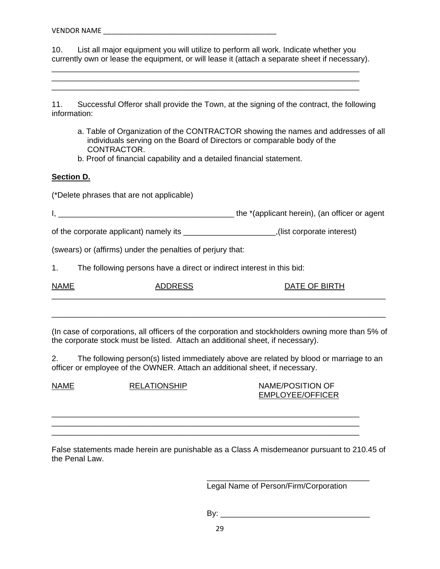10. List all major equipment you will utilize to perform all work. Indicate whether you currently own or lease the equipment, or will lease it (attach a separate sheet if necessary).

\_\_\_\_\_\_\_\_\_\_\_\_\_\_\_\_\_\_\_\_\_\_\_\_\_\_\_\_\_\_\_\_\_\_\_\_\_\_\_\_\_\_\_\_\_\_\_\_\_\_\_\_\_\_\_\_\_\_\_\_\_\_\_\_\_\_\_\_\_\_ \_\_\_\_\_\_\_\_\_\_\_\_\_\_\_\_\_\_\_\_\_\_\_\_\_\_\_\_\_\_\_\_\_\_\_\_\_\_\_\_\_\_\_\_\_\_\_\_\_\_\_\_\_\_\_\_\_\_\_\_\_\_\_\_\_\_\_\_\_\_ \_\_\_\_\_\_\_\_\_\_\_\_\_\_\_\_\_\_\_\_\_\_\_\_\_\_\_\_\_\_\_\_\_\_\_\_\_\_\_\_\_\_\_\_\_\_\_\_\_\_\_\_\_\_\_\_\_\_\_\_\_\_\_\_\_\_\_\_\_\_

11. Successful Offeror shall provide the Town, at the signing of the contract, the following information:

- a. Table of Organization of the CONTRACTOR showing the names and addresses of all individuals serving on the Board of Directors or comparable body of the CONTRACTOR.
- b. Proof of financial capability and a detailed financial statement.

#### **Section D.**

(\*Delete phrases that are not applicable)

I, \_\_\_\_\_\_\_\_\_\_\_\_\_\_\_\_\_\_\_\_\_\_\_\_\_\_\_\_\_\_\_\_\_\_\_\_\_\_\_\_ the \*(applicant herein), (an officer or agent

of the corporate applicant) namely its \_\_\_\_\_\_\_\_\_\_\_\_\_\_\_\_\_\_\_\_\_,(list corporate interest)

(swears) or (affirms) under the penalties of perjury that:

1. The following persons have a direct or indirect interest in this bid:

| <b>NAME</b> | ₩. |  |
|-------------|----|--|
|             |    |  |

(In case of corporations, all officers of the corporation and stockholders owning more than 5% of the corporate stock must be listed. Attach an additional sheet, if necessary).

\_\_\_\_\_\_\_\_\_\_\_\_\_\_\_\_\_\_\_\_\_\_\_\_\_\_\_\_\_\_\_\_\_\_\_\_\_\_\_\_\_\_\_\_\_\_\_\_\_\_\_\_\_\_\_\_\_\_\_\_\_\_\_\_\_\_\_\_\_\_\_\_\_\_\_\_

2. The following person(s) listed immediately above are related by blood or marriage to an officer or employee of the OWNER. Attach an additional sheet, if necessary.

| <b>EMPLOYEE/OFFICER</b> |
|-------------------------|
|                         |
|                         |

False statements made herein are punishable as a Class A misdemeanor pursuant to 210.45 of the Penal Law.

Legal Name of Person/Firm/Corporation

By: \_\_\_\_\_\_\_\_\_\_\_\_\_\_\_\_\_\_\_\_\_\_\_\_\_\_\_\_\_\_\_\_\_\_

\_\_\_\_\_\_\_\_\_\_\_\_\_\_\_\_\_\_\_\_\_\_\_\_\_\_\_\_\_\_\_\_\_\_\_\_\_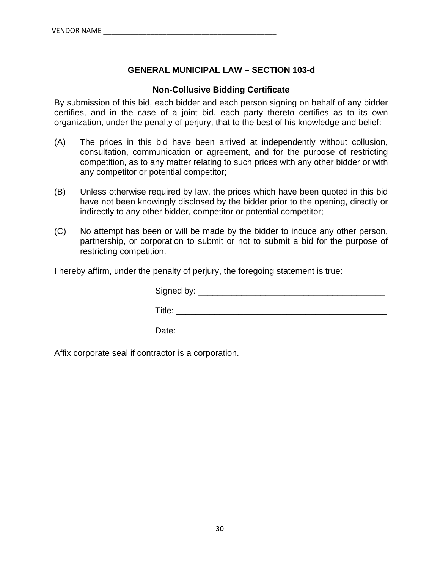## **GENERAL MUNICIPAL LAW – SECTION 103-d**

#### **Non-Collusive Bidding Certificate**

By submission of this bid, each bidder and each person signing on behalf of any bidder certifies, and in the case of a joint bid, each party thereto certifies as to its own organization, under the penalty of perjury, that to the best of his knowledge and belief:

- (A) The prices in this bid have been arrived at independently without collusion, consultation, communication or agreement, and for the purpose of restricting competition, as to any matter relating to such prices with any other bidder or with any competitor or potential competitor;
- (B) Unless otherwise required by law, the prices which have been quoted in this bid have not been knowingly disclosed by the bidder prior to the opening, directly or indirectly to any other bidder, competitor or potential competitor;
- (C) No attempt has been or will be made by the bidder to induce any other person, partnership, or corporation to submit or not to submit a bid for the purpose of restricting competition.

I hereby affirm, under the penalty of perjury, the foregoing statement is true:

| Signed by: __ |  |  |
|---------------|--|--|
| Title:        |  |  |
| Date:         |  |  |

Affix corporate seal if contractor is a corporation.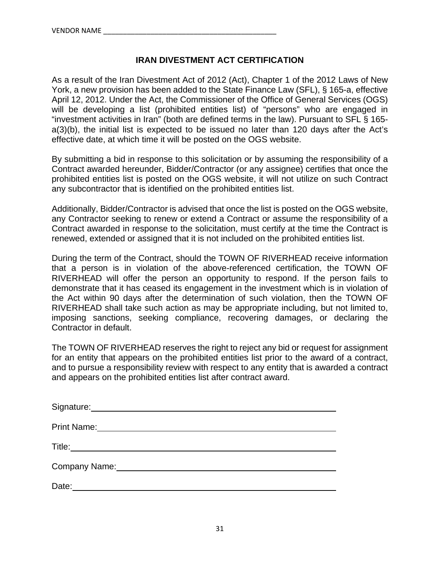#### **IRAN DIVESTMENT ACT CERTIFICATION**

As a result of the Iran Divestment Act of 2012 (Act), Chapter 1 of the 2012 Laws of New York, a new provision has been added to the State Finance Law (SFL), § 165-a, effective April 12, 2012. Under the Act, the Commissioner of the Office of General Services (OGS) will be developing a list (prohibited entities list) of "persons" who are engaged in "investment activities in Iran" (both are defined terms in the law). Pursuant to SFL § 165 a(3)(b), the initial list is expected to be issued no later than 120 days after the Act's effective date, at which time it will be posted on the OGS website.

By submitting a bid in response to this solicitation or by assuming the responsibility of a Contract awarded hereunder, Bidder/Contractor (or any assignee) certifies that once the prohibited entities list is posted on the OGS website, it will not utilize on such Contract any subcontractor that is identified on the prohibited entities list.

Additionally, Bidder/Contractor is advised that once the list is posted on the OGS website, any Contractor seeking to renew or extend a Contract or assume the responsibility of a Contract awarded in response to the solicitation, must certify at the time the Contract is renewed, extended or assigned that it is not included on the prohibited entities list.

During the term of the Contract, should the TOWN OF RIVERHEAD receive information that a person is in violation of the above-referenced certification, the TOWN OF RIVERHEAD will offer the person an opportunity to respond. If the person fails to demonstrate that it has ceased its engagement in the investment which is in violation of the Act within 90 days after the determination of such violation, then the TOWN OF RIVERHEAD shall take such action as may be appropriate including, but not limited to, imposing sanctions, seeking compliance, recovering damages, or declaring the Contractor in default.

The TOWN OF RIVERHEAD reserves the right to reject any bid or request for assignment for an entity that appears on the prohibited entities list prior to the award of a contract, and to pursue a responsibility review with respect to any entity that is awarded a contract and appears on the prohibited entities list after contract award.

| Signature:         |  |
|--------------------|--|
| <b>Print Name:</b> |  |
| Title:             |  |
|                    |  |
| Company Name:      |  |
| Date:              |  |